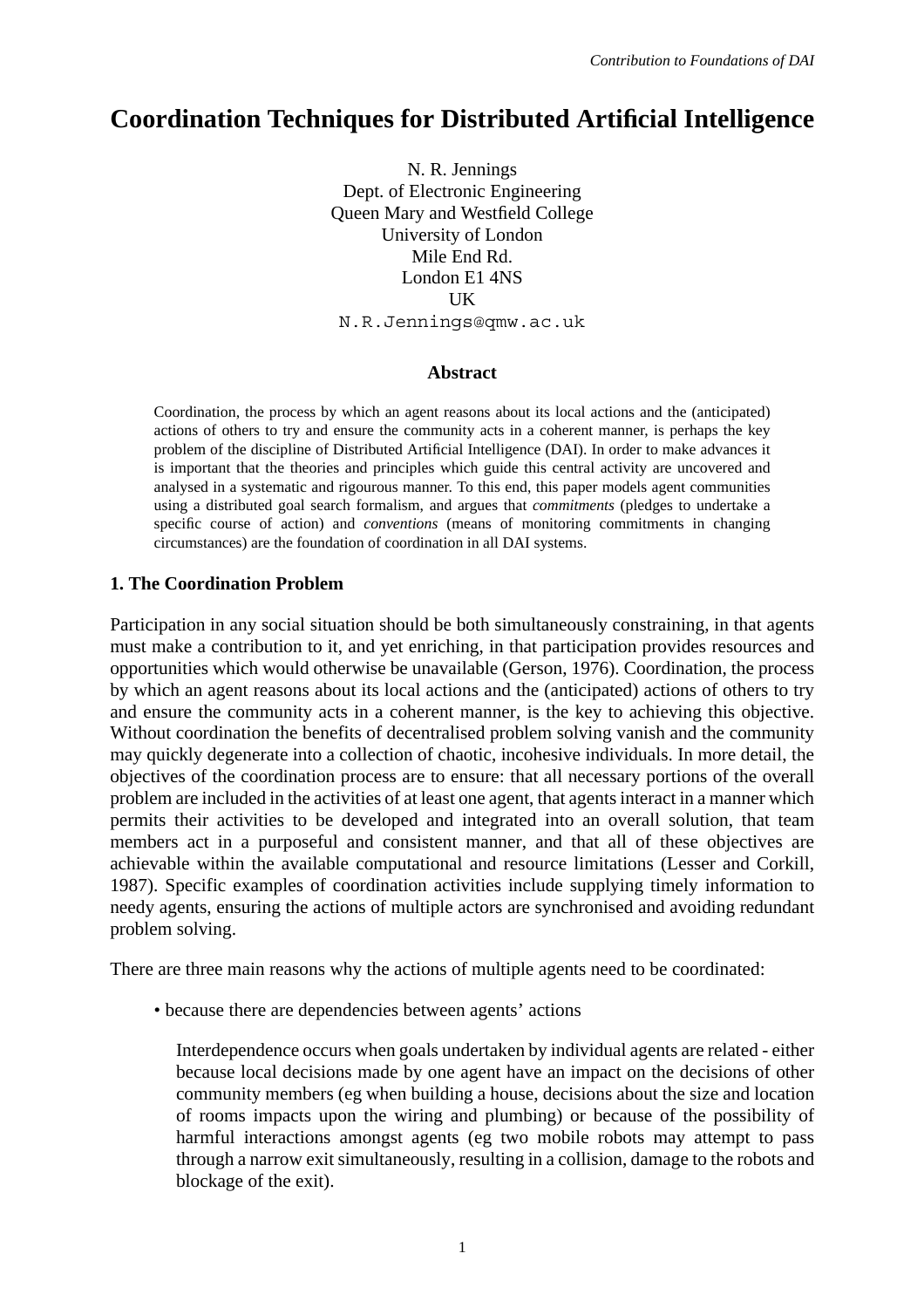# **Coordination Techniques for Distributed Artificial Intelligence**

N. R. Jennings Dept. of Electronic Engineering Queen Mary and Westfield College University of London Mile End Rd. London E1 4NS UK N.R.Jennings@qmw.ac.uk

#### **Abstract**

Coordination, the process by which an agent reasons about its local actions and the (anticipated) actions of others to try and ensure the community acts in a coherent manner, is perhaps the key problem of the discipline of Distributed Artificial Intelligence (DAI). In order to make advances it is important that the theories and principles which guide this central activity are uncovered and analysed in a systematic and rigourous manner. To this end, this paper models agent communities using a distributed goal search formalism, and argues that *commitments* (pledges to undertake a specific course of action) and *conventions* (means of monitoring commitments in changing circumstances) are the foundation of coordination in all DAI systems.

#### **1. The Coordination Problem**

Participation in any social situation should be both simultaneously constraining, in that agents must make a contribution to it, and yet enriching, in that participation provides resources and opportunities which would otherwise be unavailable (Gerson, 1976). Coordination, the process by which an agent reasons about its local actions and the (anticipated) actions of others to try and ensure the community acts in a coherent manner, is the key to achieving this objective. Without coordination the benefits of decentralised problem solving vanish and the community may quickly degenerate into a collection of chaotic, incohesive individuals. In more detail, the objectives of the coordination process are to ensure: that all necessary portions of the overall problem are included in the activities of at least one agent, that agents interact in a manner which permits their activities to be developed and integrated into an overall solution, that team members act in a purposeful and consistent manner, and that all of these objectives are achievable within the available computational and resource limitations (Lesser and Corkill, 1987). Specific examples of coordination activities include supplying timely information to needy agents, ensuring the actions of multiple actors are synchronised and avoiding redundant problem solving.

There are three main reasons why the actions of multiple agents need to be coordinated:

• because there are dependencies between agents' actions

Interdependence occurs when goals undertaken by individual agents are related - either because local decisions made by one agent have an impact on the decisions of other community members (eg when building a house, decisions about the size and location of rooms impacts upon the wiring and plumbing) or because of the possibility of harmful interactions amongst agents (eg two mobile robots may attempt to pass through a narrow exit simultaneously, resulting in a collision, damage to the robots and blockage of the exit).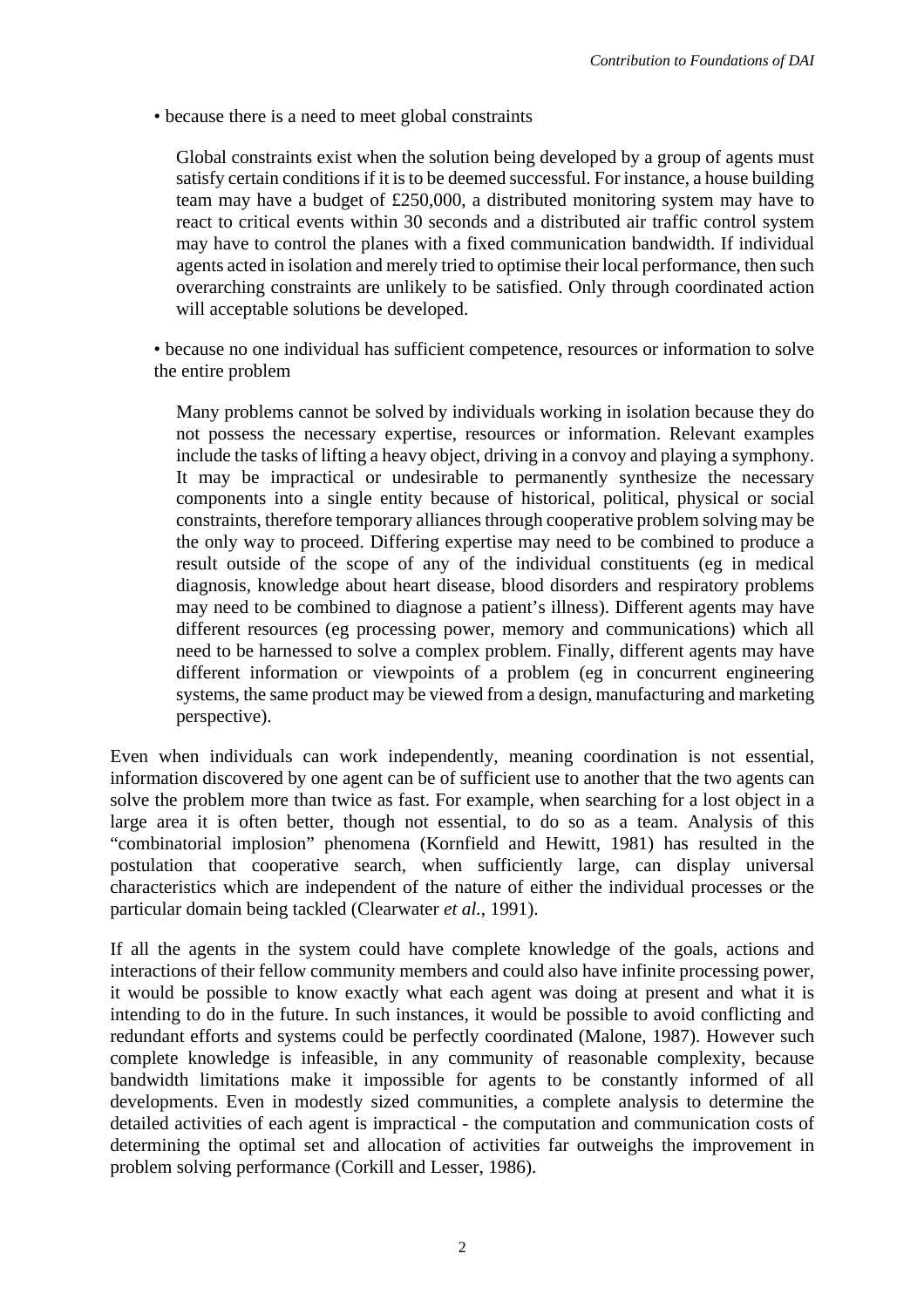• because there is a need to meet global constraints

Global constraints exist when the solution being developed by a group of agents must satisfy certain conditions if it is to be deemed successful. For instance, a house building team may have a budget of £250,000, a distributed monitoring system may have to react to critical events within 30 seconds and a distributed air traffic control system may have to control the planes with a fixed communication bandwidth. If individual agents acted in isolation and merely tried to optimise their local performance, then such overarching constraints are unlikely to be satisfied. Only through coordinated action will acceptable solutions be developed.

• because no one individual has sufficient competence, resources or information to solve the entire problem

Many problems cannot be solved by individuals working in isolation because they do not possess the necessary expertise, resources or information. Relevant examples include the tasks of lifting a heavy object, driving in a convoy and playing a symphony. It may be impractical or undesirable to permanently synthesize the necessary components into a single entity because of historical, political, physical or social constraints, therefore temporary alliances through cooperative problem solving may be the only way to proceed. Differing expertise may need to be combined to produce a result outside of the scope of any of the individual constituents (eg in medical diagnosis, knowledge about heart disease, blood disorders and respiratory problems may need to be combined to diagnose a patient's illness). Different agents may have different resources (eg processing power, memory and communications) which all need to be harnessed to solve a complex problem. Finally, different agents may have different information or viewpoints of a problem (eg in concurrent engineering systems, the same product may be viewed from a design, manufacturing and marketing perspective).

Even when individuals can work independently, meaning coordination is not essential, information discovered by one agent can be of sufficient use to another that the two agents can solve the problem more than twice as fast. For example, when searching for a lost object in a large area it is often better, though not essential, to do so as a team. Analysis of this "combinatorial implosion" phenomena (Kornfield and Hewitt, 1981) has resulted in the postulation that cooperative search, when sufficiently large, can display universal characteristics which are independent of the nature of either the individual processes or the particular domain being tackled (Clearwater *et al.*, 1991).

If all the agents in the system could have complete knowledge of the goals, actions and interactions of their fellow community members and could also have infinite processing power, it would be possible to know exactly what each agent was doing at present and what it is intending to do in the future. In such instances, it would be possible to avoid conflicting and redundant efforts and systems could be perfectly coordinated (Malone, 1987). However such complete knowledge is infeasible, in any community of reasonable complexity, because bandwidth limitations make it impossible for agents to be constantly informed of all developments. Even in modestly sized communities, a complete analysis to determine the detailed activities of each agent is impractical - the computation and communication costs of determining the optimal set and allocation of activities far outweighs the improvement in problem solving performance (Corkill and Lesser, 1986).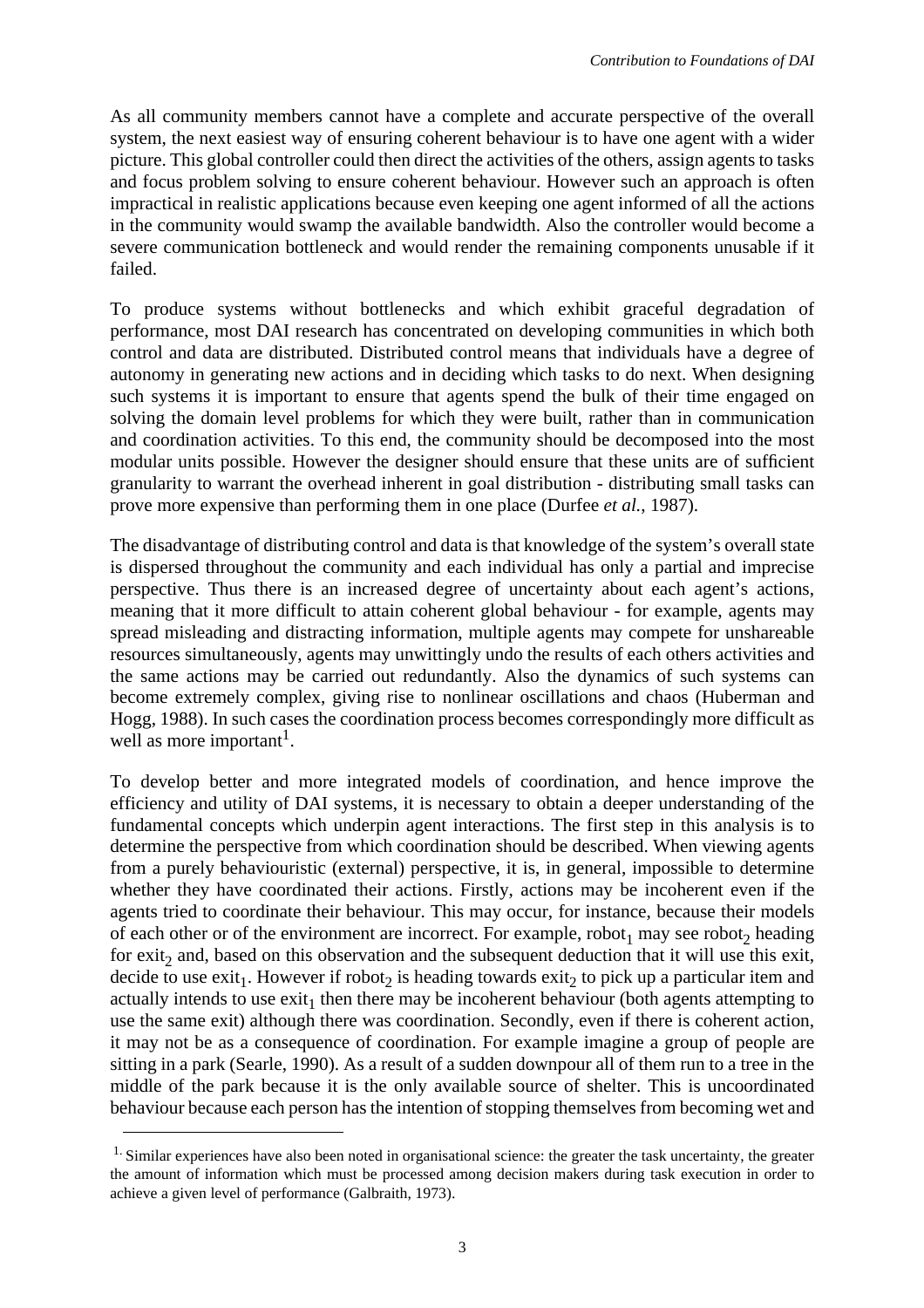As all community members cannot have a complete and accurate perspective of the overall system, the next easiest way of ensuring coherent behaviour is to have one agent with a wider picture. This global controller could then direct the activities of the others, assign agents to tasks and focus problem solving to ensure coherent behaviour. However such an approach is often impractical in realistic applications because even keeping one agent informed of all the actions in the community would swamp the available bandwidth. Also the controller would become a severe communication bottleneck and would render the remaining components unusable if it failed.

To produce systems without bottlenecks and which exhibit graceful degradation of performance, most DAI research has concentrated on developing communities in which both control and data are distributed. Distributed control means that individuals have a degree of autonomy in generating new actions and in deciding which tasks to do next. When designing such systems it is important to ensure that agents spend the bulk of their time engaged on solving the domain level problems for which they were built, rather than in communication and coordination activities. To this end, the community should be decomposed into the most modular units possible. However the designer should ensure that these units are of sufficient granularity to warrant the overhead inherent in goal distribution - distributing small tasks can prove more expensive than performing them in one place (Durfee *et al.*, 1987).

The disadvantage of distributing control and data is that knowledge of the system's overall state is dispersed throughout the community and each individual has only a partial and imprecise perspective. Thus there is an increased degree of uncertainty about each agent's actions, meaning that it more difficult to attain coherent global behaviour - for example, agents may spread misleading and distracting information, multiple agents may compete for unshareable resources simultaneously, agents may unwittingly undo the results of each others activities and the same actions may be carried out redundantly. Also the dynamics of such systems can become extremely complex, giving rise to nonlinear oscillations and chaos (Huberman and Hogg, 1988). In such cases the coordination process becomes correspondingly more difficult as well as more important<sup>1</sup>.

To develop better and more integrated models of coordination, and hence improve the efficiency and utility of DAI systems, it is necessary to obtain a deeper understanding of the fundamental concepts which underpin agent interactions. The first step in this analysis is to determine the perspective from which coordination should be described. When viewing agents from a purely behaviouristic (external) perspective, it is, in general, impossible to determine whether they have coordinated their actions. Firstly, actions may be incoherent even if the agents tried to coordinate their behaviour. This may occur, for instance, because their models of each other or of the environment are incorrect. For example, robot<sub>1</sub> may see robot<sub>2</sub> heading for exit<sub>2</sub> and, based on this observation and the subsequent deduction that it will use this exit, decide to use exit<sub>1</sub>. However if robot<sub>2</sub> is heading towards exit<sub>2</sub> to pick up a particular item and actually intends to use  $\text{exit}_1$  then there may be incoherent behaviour (both agents attempting to use the same exit) although there was coordination. Secondly, even if there is coherent action, it may not be as a consequence of coordination. For example imagine a group of people are sitting in a park (Searle, 1990). As a result of a sudden downpour all of them run to a tree in the middle of the park because it is the only available source of shelter. This is uncoordinated behaviour because each person has the intention of stopping themselves from becoming wet and

<sup>&</sup>lt;sup>1.</sup> Similar experiences have also been noted in organisational science: the greater the task uncertainty, the greater the amount of information which must be processed among decision makers during task execution in order to achieve a given level of performance (Galbraith, 1973).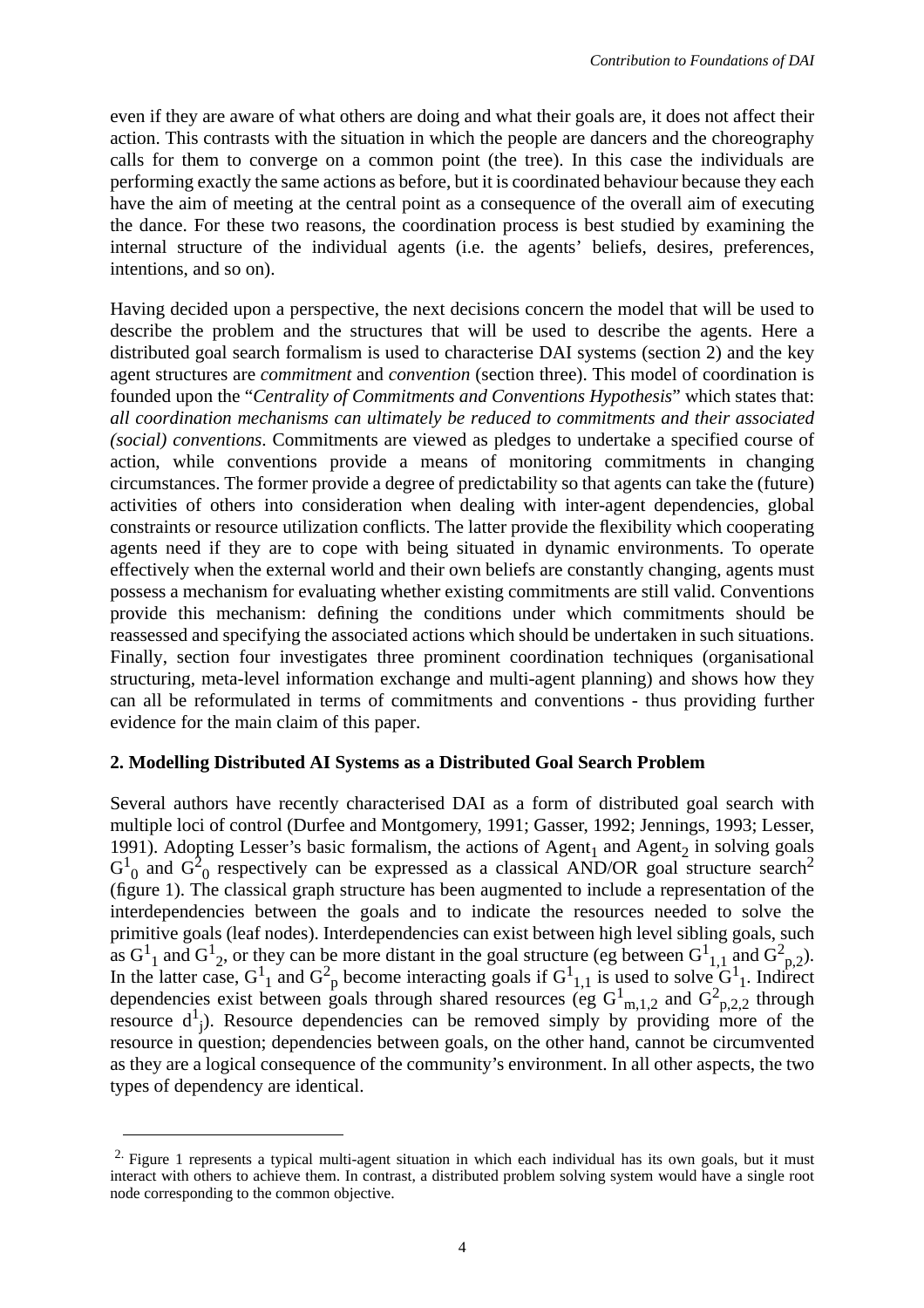even if they are aware of what others are doing and what their goals are, it does not affect their action. This contrasts with the situation in which the people are dancers and the choreography calls for them to converge on a common point (the tree). In this case the individuals are performing exactly the same actions as before, but it is coordinated behaviour because they each have the aim of meeting at the central point as a consequence of the overall aim of executing the dance. For these two reasons, the coordination process is best studied by examining the internal structure of the individual agents (i.e. the agents' beliefs, desires, preferences, intentions, and so on).

Having decided upon a perspective, the next decisions concern the model that will be used to describe the problem and the structures that will be used to describe the agents. Here a distributed goal search formalism is used to characterise DAI systems (section 2) and the key agent structures are *commitment* and *convention* (section three). This model of coordination is founded upon the "*Centrality of Commitments and Conventions Hypothesis*" which states that: *all coordination mechanisms can ultimately be reduced to commitments and their associated (social) conventions*. Commitments are viewed as pledges to undertake a specified course of action, while conventions provide a means of monitoring commitments in changing circumstances. The former provide a degree of predictability so that agents can take the (future) activities of others into consideration when dealing with inter-agent dependencies, global constraints or resource utilization conflicts. The latter provide the flexibility which cooperating agents need if they are to cope with being situated in dynamic environments. To operate effectively when the external world and their own beliefs are constantly changing, agents must possess a mechanism for evaluating whether existing commitments are still valid. Conventions provide this mechanism: defining the conditions under which commitments should be reassessed and specifying the associated actions which should be undertaken in such situations. Finally, section four investigates three prominent coordination techniques (organisational structuring, meta-level information exchange and multi-agent planning) and shows how they can all be reformulated in terms of commitments and conventions - thus providing further evidence for the main claim of this paper.

#### **2. Modelling Distributed AI Systems as a Distributed Goal Search Problem**

Several authors have recently characterised DAI as a form of distributed goal search with multiple loci of control (Durfee and Montgomery, 1991; Gasser, 1992; Jennings, 1993; Lesser, 1991). Adopting Lesser's basic formalism, the actions of  $Agent_1$  and  $Agent_2$  in solving goals  $G_{0}^{1}$  and  $G_{0}^{2}$  respectively can be expressed as a classical AND/OR goal structure search<sup>2</sup> (figure 1). The classical graph structure has been augmented to include a representation of the interdependencies between the goals and to indicate the resources needed to solve the primitive goals (leaf nodes). Interdependencies can exist between high level sibling goals, such as  $G^1$ <sub>1</sub> and  $G^1$ <sub>2</sub>, or they can be more distant in the goal structure (eg between  $G^1$ <sub>1,1</sub> and  $G^2$ <sub>p,2</sub>). In the latter case,  $G_{1}^{1}$  and  $G_{p}^{2}$  become interacting goals if  $G_{1,1}^{1}$  is used to solve  $G_{1}^{1}$ . Indirect dependencies exist between goals through shared resources (eg  $G_{m,1,2}^1$  and  $G_{p,2,2}^2$  through resource  $d_{j}^{1}$ ). Resource dependencies can be removed simply by providing more of the resource in question; dependencies between goals, on the other hand, cannot be circumvented as they are a logical consequence of the community's environment. In all other aspects, the two types of dependency are identical.

<sup>&</sup>lt;sup>2.</sup> Figure 1 represents a typical multi-agent situation in which each individual has its own goals, but it must interact with others to achieve them. In contrast, a distributed problem solving system would have a single root node corresponding to the common objective.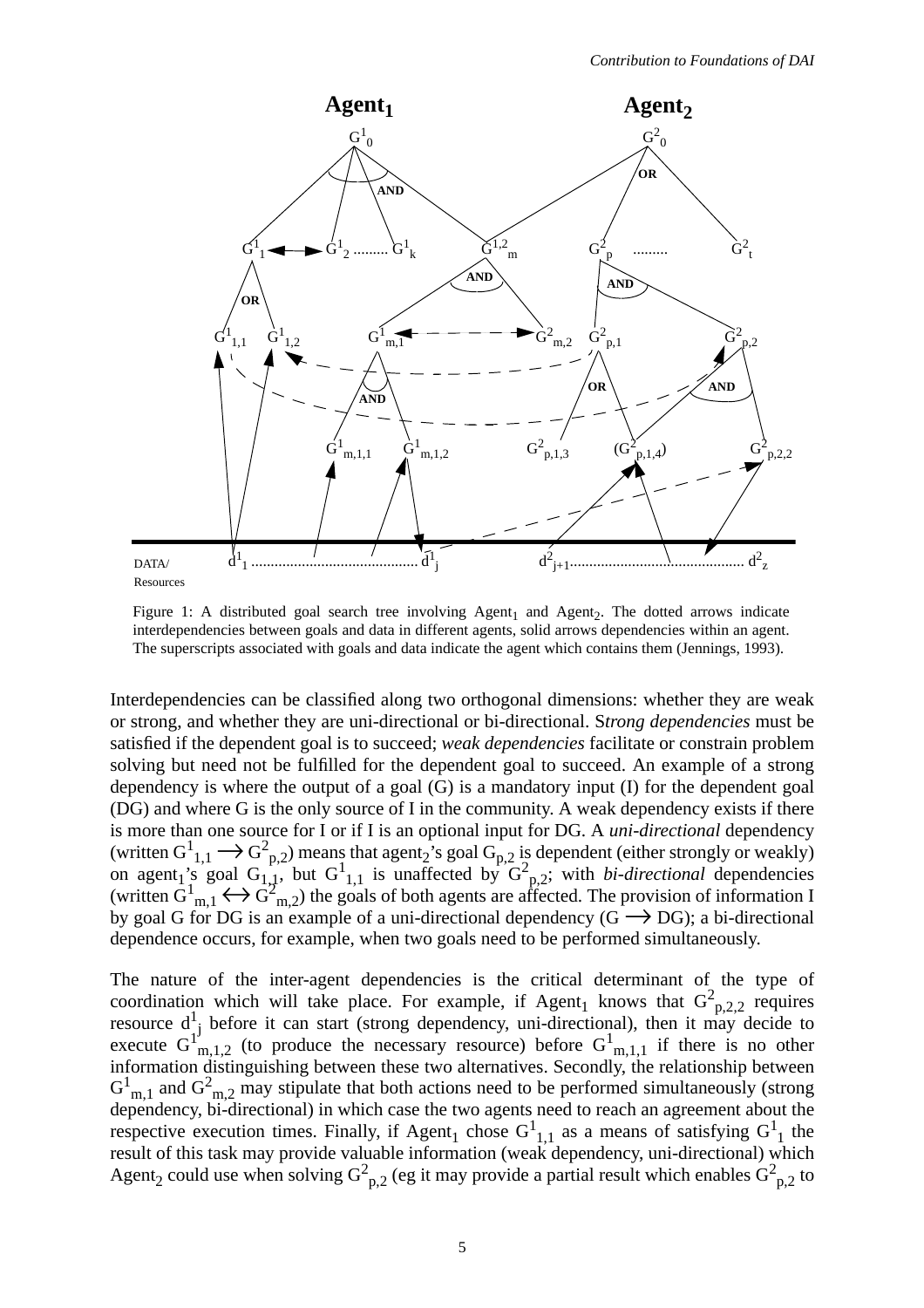

Figure 1: A distributed goal search tree involving  $Agent_1$  and  $Agent_2$ . The dotted arrows indicate interdependencies between goals and data in different agents, solid arrows dependencies within an agent. The superscripts associated with goals and data indicate the agent which contains them (Jennings, 1993).

Interdependencies can be classified along two orthogonal dimensions: whether they are weak or strong, and whether they are uni-directional or bi-directional. S*trong dependencies* must be satisfied if the dependent goal is to succeed; *weak dependencies* facilitate or constrain problem solving but need not be fulfilled for the dependent goal to succeed. An example of a strong dependency is where the output of a goal (G) is a mandatory input (I) for the dependent goal (DG) and where G is the only source of I in the community. A weak dependency exists if there is more than one source for I or if I is an optional input for DG. A *uni-directional* dependency (written  $G^1_{1,1} \to G^2_{p,2}$ ) means that agent<sub>2</sub>'s goal  $G_{p,2}$  is dependent (either strongly or weakly) on agent<sub>1</sub>'s goal  $G_{1,1}^{p,2}$ , but  $G_{1,1}^{1}$  is unaffected by  $G_{p,2}^{2}$ ; with *bi-directional* dependencies (written  $G^1_{m,1} \leftrightarrow G^2_{m,2}$ ) the goals of both agents are affected. The provision of information I by goal G for DG is an example of a uni-directional dependency  $(G \rightarrow DG)$ ; a bi-directional dependence occurs, for example, when two goals need to be performed simultaneously.

The nature of the inter-agent dependencies is the critical determinant of the type of coordination which will take place. For example, if Agent<sub>1</sub> knows that  $G_{p,2,2}^2$  requires resource  $d_{i,j}^1$  before it can start (strong dependency, uni-directional), then it may decide to execute  $G_{m,1,2}^{1'}$  (to produce the necessary resource) before  $G_{m,1,1}^{1}$  if there is no other information distinguishing between these two alternatives. Secondly, the relationship between  $G_{m,1}^1$  and  $G_{m,2}^2$  may stipulate that both actions need to be performed simultaneously (strong dependency, bi-directional) in which case the two agents need to reach an agreement about the respective execution times. Finally, if Agent<sub>1</sub> chose  $G_{1,1}^1$  as a means of satisfying  $G_{1}^1$  the result of this task may provide valuable information (weak dependency, uni-directional) which Agent<sub>2</sub> could use when solving  $G_{p,2}^2$  (eg it may provide a partial result which enables  $G_{p,2}^2$  to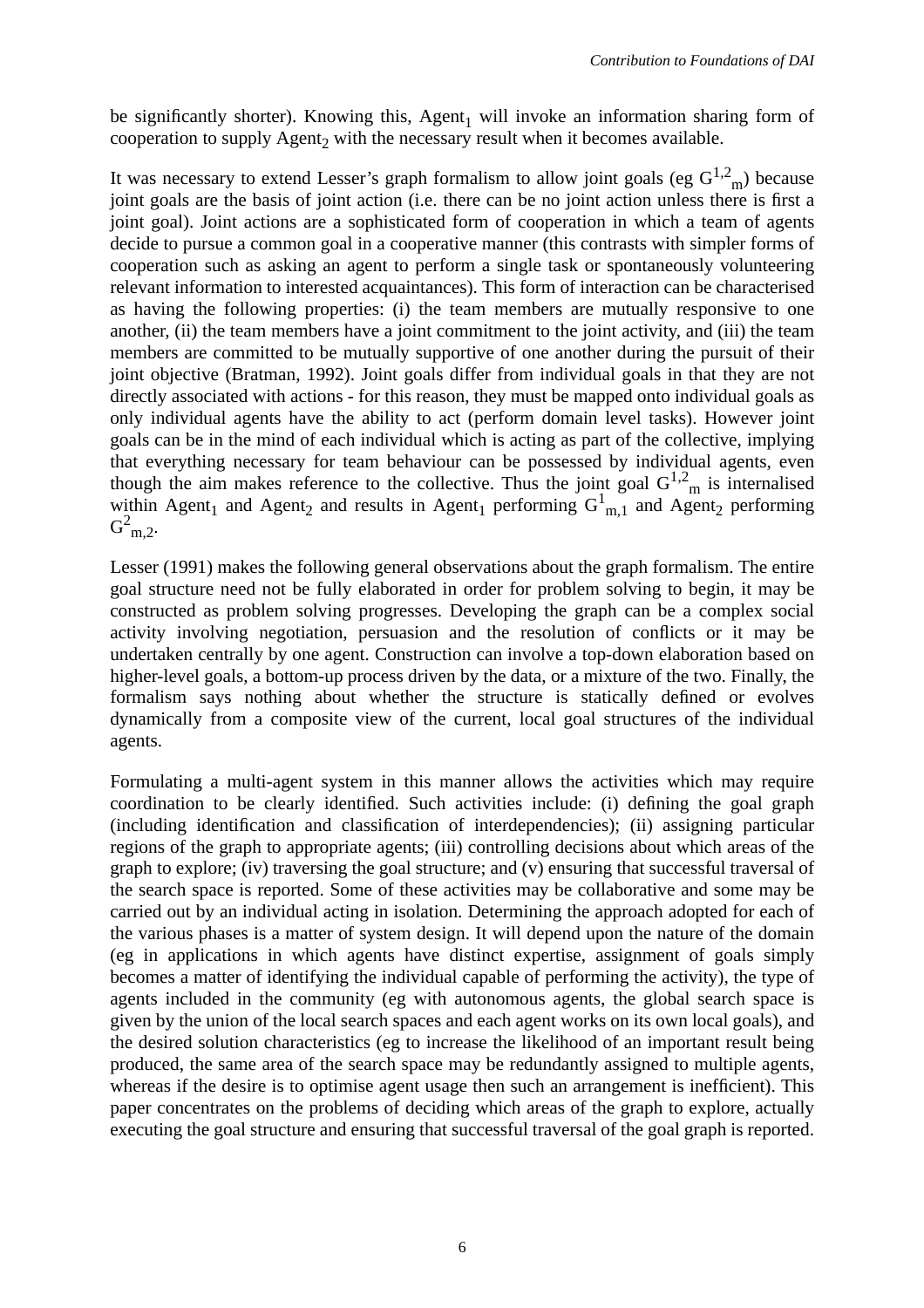be significantly shorter). Knowing this, Agent<sub>1</sub> will invoke an information sharing form of cooperation to supply Agent, with the necessary result when it becomes available.

It was necessary to extend Lesser's graph formalism to allow joint goals (eg  $G^{1,2}$ <sub>m</sub>) because joint goals are the basis of joint action (i.e. there can be no joint action unless there is first a joint goal). Joint actions are a sophisticated form of cooperation in which a team of agents decide to pursue a common goal in a cooperative manner (this contrasts with simpler forms of cooperation such as asking an agent to perform a single task or spontaneously volunteering relevant information to interested acquaintances). This form of interaction can be characterised as having the following properties: (i) the team members are mutually responsive to one another, (ii) the team members have a joint commitment to the joint activity, and (iii) the team members are committed to be mutually supportive of one another during the pursuit of their joint objective (Bratman, 1992). Joint goals differ from individual goals in that they are not directly associated with actions - for this reason, they must be mapped onto individual goals as only individual agents have the ability to act (perform domain level tasks). However joint goals can be in the mind of each individual which is acting as part of the collective, implying that everything necessary for team behaviour can be possessed by individual agents, even though the aim makes reference to the collective. Thus the joint goal  $G^{1,2}$ <sub>m</sub> is internalised within Agent<sub>1</sub> and Agent<sub>2</sub> and results in Agent<sub>1</sub> performing  $G_{m,1}^1$  and Agent<sub>2</sub> performing  $G_{m,2}^2$ .

Lesser (1991) makes the following general observations about the graph formalism. The entire goal structure need not be fully elaborated in order for problem solving to begin, it may be constructed as problem solving progresses. Developing the graph can be a complex social activity involving negotiation, persuasion and the resolution of conflicts or it may be undertaken centrally by one agent. Construction can involve a top-down elaboration based on higher-level goals, a bottom-up process driven by the data, or a mixture of the two. Finally, the formalism says nothing about whether the structure is statically defined or evolves dynamically from a composite view of the current, local goal structures of the individual agents.

Formulating a multi-agent system in this manner allows the activities which may require coordination to be clearly identified. Such activities include: (i) defining the goal graph (including identification and classification of interdependencies); (ii) assigning particular regions of the graph to appropriate agents; (iii) controlling decisions about which areas of the graph to explore; (iv) traversing the goal structure; and (v) ensuring that successful traversal of the search space is reported. Some of these activities may be collaborative and some may be carried out by an individual acting in isolation. Determining the approach adopted for each of the various phases is a matter of system design. It will depend upon the nature of the domain (eg in applications in which agents have distinct expertise, assignment of goals simply becomes a matter of identifying the individual capable of performing the activity), the type of agents included in the community (eg with autonomous agents, the global search space is given by the union of the local search spaces and each agent works on its own local goals), and the desired solution characteristics (eg to increase the likelihood of an important result being produced, the same area of the search space may be redundantly assigned to multiple agents, whereas if the desire is to optimise agent usage then such an arrangement is inefficient). This paper concentrates on the problems of deciding which areas of the graph to explore, actually executing the goal structure and ensuring that successful traversal of the goal graph is reported.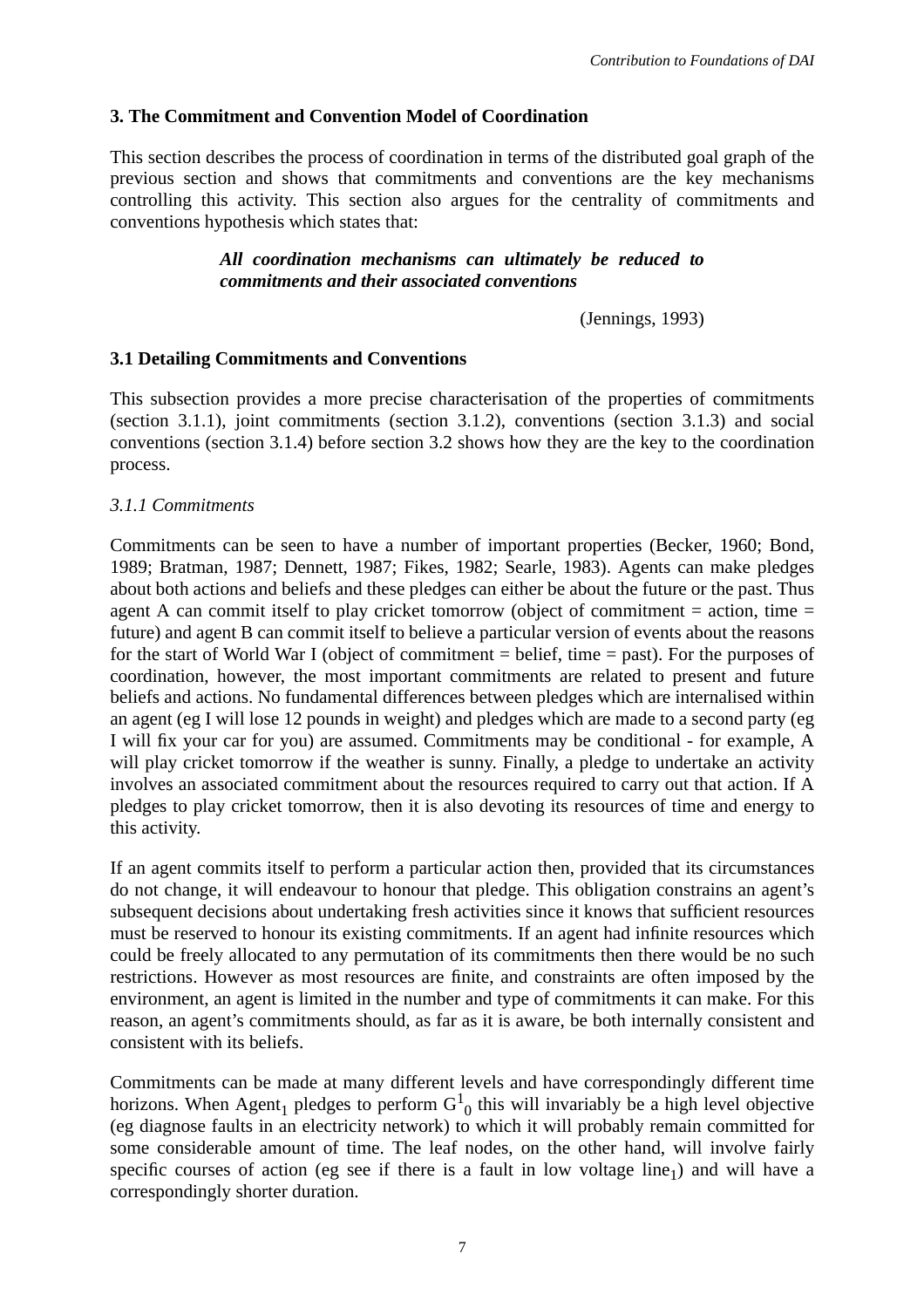## **3. The Commitment and Convention Model of Coordination**

This section describes the process of coordination in terms of the distributed goal graph of the previous section and shows that commitments and conventions are the key mechanisms controlling this activity. This section also argues for the centrality of commitments and conventions hypothesis which states that:

#### *All coordination mechanisms can ultimately be reduced to commitments and their associated conventions*

(Jennings, 1993)

#### **3.1 Detailing Commitments and Conventions**

This subsection provides a more precise characterisation of the properties of commitments (section 3.1.1), joint commitments (section 3.1.2), conventions (section 3.1.3) and social conventions (section 3.1.4) before section 3.2 shows how they are the key to the coordination process.

#### *3.1.1 Commitments*

Commitments can be seen to have a number of important properties (Becker, 1960; Bond, 1989; Bratman, 1987; Dennett, 1987; Fikes, 1982; Searle, 1983). Agents can make pledges about both actions and beliefs and these pledges can either be about the future or the past. Thus agent A can commit itself to play cricket tomorrow (object of commitment  $=$  action, time  $=$ future) and agent B can commit itself to believe a particular version of events about the reasons for the start of World War I (object of commitment  $=$  belief, time  $=$  past). For the purposes of coordination, however, the most important commitments are related to present and future beliefs and actions. No fundamental differences between pledges which are internalised within an agent (eg I will lose 12 pounds in weight) and pledges which are made to a second party (eg I will fix your car for you) are assumed. Commitments may be conditional - for example, A will play cricket tomorrow if the weather is sunny. Finally, a pledge to undertake an activity involves an associated commitment about the resources required to carry out that action. If A pledges to play cricket tomorrow, then it is also devoting its resources of time and energy to this activity.

If an agent commits itself to perform a particular action then, provided that its circumstances do not change, it will endeavour to honour that pledge. This obligation constrains an agent's subsequent decisions about undertaking fresh activities since it knows that sufficient resources must be reserved to honour its existing commitments. If an agent had infinite resources which could be freely allocated to any permutation of its commitments then there would be no such restrictions. However as most resources are finite, and constraints are often imposed by the environment, an agent is limited in the number and type of commitments it can make. For this reason, an agent's commitments should, as far as it is aware, be both internally consistent and consistent with its beliefs.

Commitments can be made at many different levels and have correspondingly different time horizons. When Agent<sub>1</sub> pledges to perform  $G<sup>1</sup><sub>0</sub>$  this will invariably be a high level objective (eg diagnose faults in an electricity network) to which it will probably remain committed for some considerable amount of time. The leaf nodes, on the other hand, will involve fairly specific courses of action (eg see if there is a fault in low voltage line<sub>1</sub>) and will have a correspondingly shorter duration.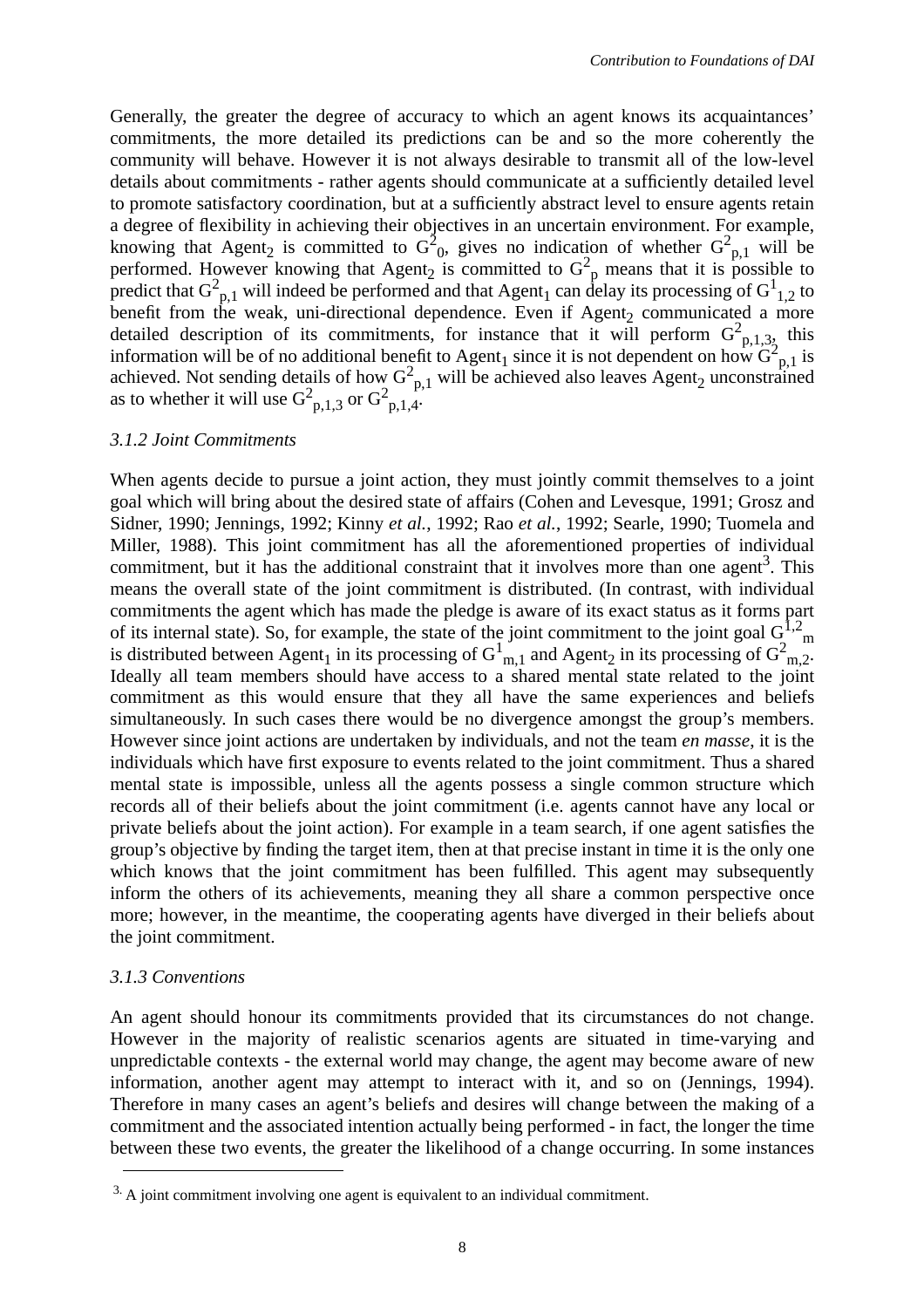Generally, the greater the degree of accuracy to which an agent knows its acquaintances' commitments, the more detailed its predictions can be and so the more coherently the community will behave. However it is not always desirable to transmit all of the low-level details about commitments - rather agents should communicate at a sufficiently detailed level to promote satisfactory coordination, but at a sufficiently abstract level to ensure agents retain a degree of flexibility in achieving their objectives in an uncertain environment. For example, knowing that Agent<sub>2</sub> is committed to  $G_{0}^{2}$ , gives no indication of whether  $G_{p,1}^{2}$  will be performed. However knowing that Agent<sub>2</sub> is committed to  $G_p^2$  means that it is possible to predict that  $G_{p,1}^2$  will indeed be performed and that Agent<sub>1</sub> can delay its processing of  $G_{1,2}^1$  to benefit from the weak, uni-directional dependence. Even if  $Agent_2$  communicated a more detailed description of its commitments, for instance that it will perform  $G_{p,1,3}^2$  this information will be of no additional benefit to Agent<sub>1</sub> since it is not dependent on how  $G_{p,1}^p$  is achieved. Not sending details of how  $G_{p,1}^2$  will be achieved also leaves Agent<sub>2</sub> unconstrained as to whether it will use  $G_{p,1,3}^2$  or  $G_{p,1,4}^2$ .

#### *3.1.2 Joint Commitments*

When agents decide to pursue a joint action, they must jointly commit themselves to a joint goal which will bring about the desired state of affairs (Cohen and Levesque, 1991; Grosz and Sidner, 1990; Jennings, 1992; Kinny *et al.*, 1992; Rao *et al.*, 1992; Searle, 1990; Tuomela and Miller, 1988). This joint commitment has all the aforementioned properties of individual commitment, but it has the additional constraint that it involves more than one agent<sup>3</sup>. This means the overall state of the joint commitment is distributed. (In contrast, with individual commitments the agent which has made the pledge is aware of its exact status as it forms part of its internal state). So, for example, the state of the joint commitment to the joint goal  $G_1^{1,2}$ <sub>m</sub> is distributed between Agent<sub>1</sub> in its processing of  $G_{m,1}^1$  and Agent<sub>2</sub> in its processing of  $G_{m,2}^2$ . Ideally all team members should have access to a shared mental state related to the joint commitment as this would ensure that they all have the same experiences and beliefs simultaneously. In such cases there would be no divergence amongst the group's members. However since joint actions are undertaken by individuals, and not the team *en masse*, it is the individuals which have first exposure to events related to the joint commitment. Thus a shared mental state is impossible, unless all the agents possess a single common structure which records all of their beliefs about the joint commitment (i.e. agents cannot have any local or private beliefs about the joint action). For example in a team search, if one agent satisfies the group's objective by finding the target item, then at that precise instant in time it is the only one which knows that the joint commitment has been fulfilled. This agent may subsequently inform the others of its achievements, meaning they all share a common perspective once more; however, in the meantime, the cooperating agents have diverged in their beliefs about the joint commitment.

#### *3.1.3 Conventions*

An agent should honour its commitments provided that its circumstances do not change. However in the majority of realistic scenarios agents are situated in time-varying and unpredictable contexts - the external world may change, the agent may become aware of new information, another agent may attempt to interact with it, and so on (Jennings, 1994). Therefore in many cases an agent's beliefs and desires will change between the making of a commitment and the associated intention actually being performed - in fact, the longer the time between these two events, the greater the likelihood of a change occurring. In some instances

<sup>&</sup>lt;sup>3.</sup> A joint commitment involving one agent is equivalent to an individual commitment.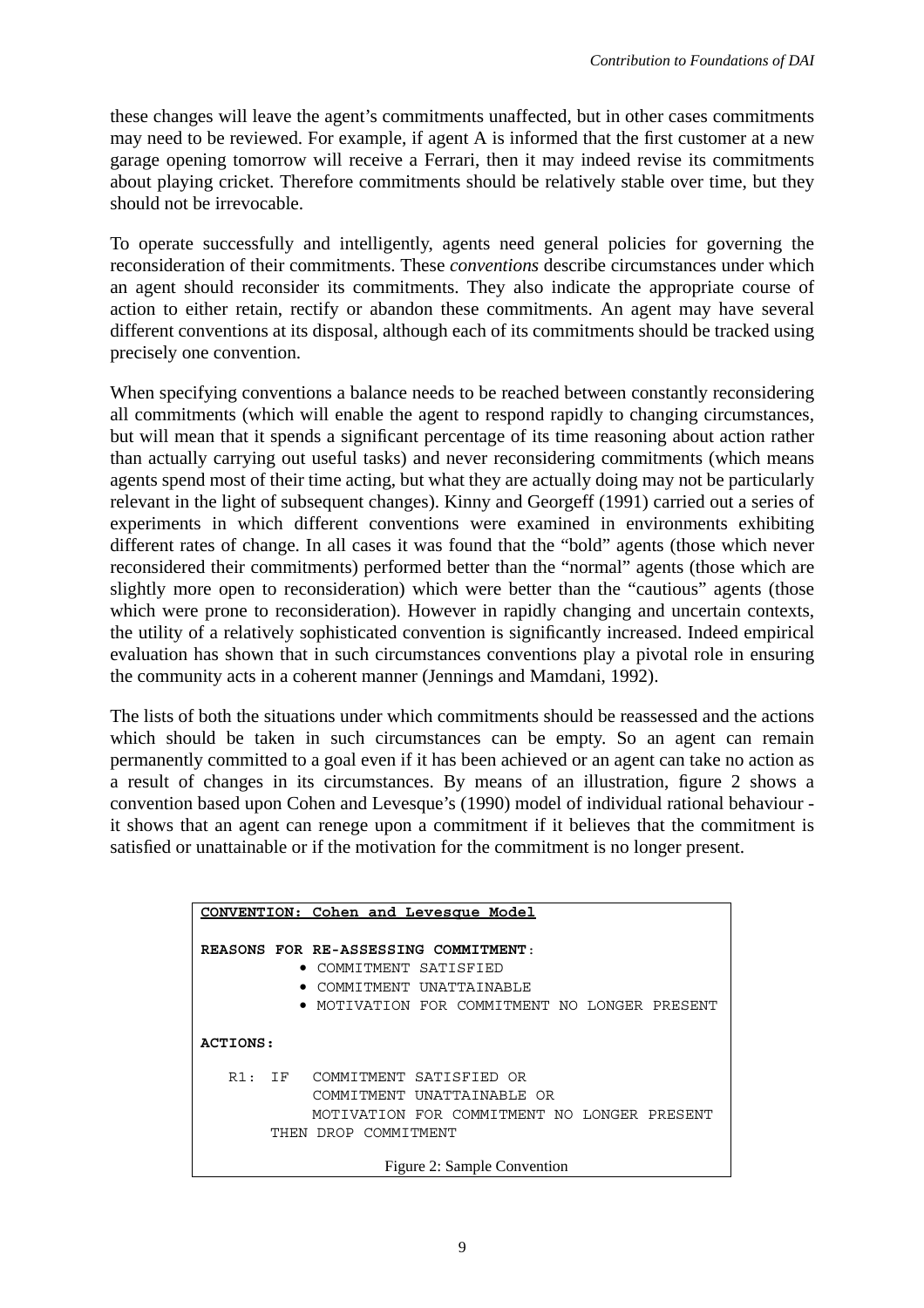these changes will leave the agent's commitments unaffected, but in other cases commitments may need to be reviewed. For example, if agent A is informed that the first customer at a new garage opening tomorrow will receive a Ferrari, then it may indeed revise its commitments about playing cricket. Therefore commitments should be relatively stable over time, but they should not be irrevocable.

To operate successfully and intelligently, agents need general policies for governing the reconsideration of their commitments. These *conventions* describe circumstances under which an agent should reconsider its commitments. They also indicate the appropriate course of action to either retain, rectify or abandon these commitments. An agent may have several different conventions at its disposal, although each of its commitments should be tracked using precisely one convention.

When specifying conventions a balance needs to be reached between constantly reconsidering all commitments (which will enable the agent to respond rapidly to changing circumstances, but will mean that it spends a significant percentage of its time reasoning about action rather than actually carrying out useful tasks) and never reconsidering commitments (which means agents spend most of their time acting, but what they are actually doing may not be particularly relevant in the light of subsequent changes). Kinny and Georgeff (1991) carried out a series of experiments in which different conventions were examined in environments exhibiting different rates of change. In all cases it was found that the "bold" agents (those which never reconsidered their commitments) performed better than the "normal" agents (those which are slightly more open to reconsideration) which were better than the "cautious" agents (those which were prone to reconsideration). However in rapidly changing and uncertain contexts, the utility of a relatively sophisticated convention is significantly increased. Indeed empirical evaluation has shown that in such circumstances conventions play a pivotal role in ensuring the community acts in a coherent manner (Jennings and Mamdani, 1992).

The lists of both the situations under which commitments should be reassessed and the actions which should be taken in such circumstances can be empty. So an agent can remain permanently committed to a goal even if it has been achieved or an agent can take no action as a result of changes in its circumstances. By means of an illustration, figure 2 shows a convention based upon Cohen and Levesque's (1990) model of individual rational behaviour it shows that an agent can renege upon a commitment if it believes that the commitment is satisfied or unattainable or if the motivation for the commitment is no longer present.

| CONVENTION: Cohen and Levesque Model                                                                                                       |
|--------------------------------------------------------------------------------------------------------------------------------------------|
| REASONS FOR RE-ASSESSING COMMITMENT:<br>• COMMITMENT SATISFIED<br>COMMITMENT UNATTAINARLE<br>• MOTIVATION FOR COMMITMENT NO LONGER PRESENT |
| ACTIONS:                                                                                                                                   |
| R1: IF COMMITMENT SATISFIED OR<br>COMMITMENT UNATTAINARLE OR<br>MOTIVATION FOR COMMITMENT NO LONGER PRESENT                                |
| THEN DROP COMMITMENT<br>Figure 2: Sample Convention                                                                                        |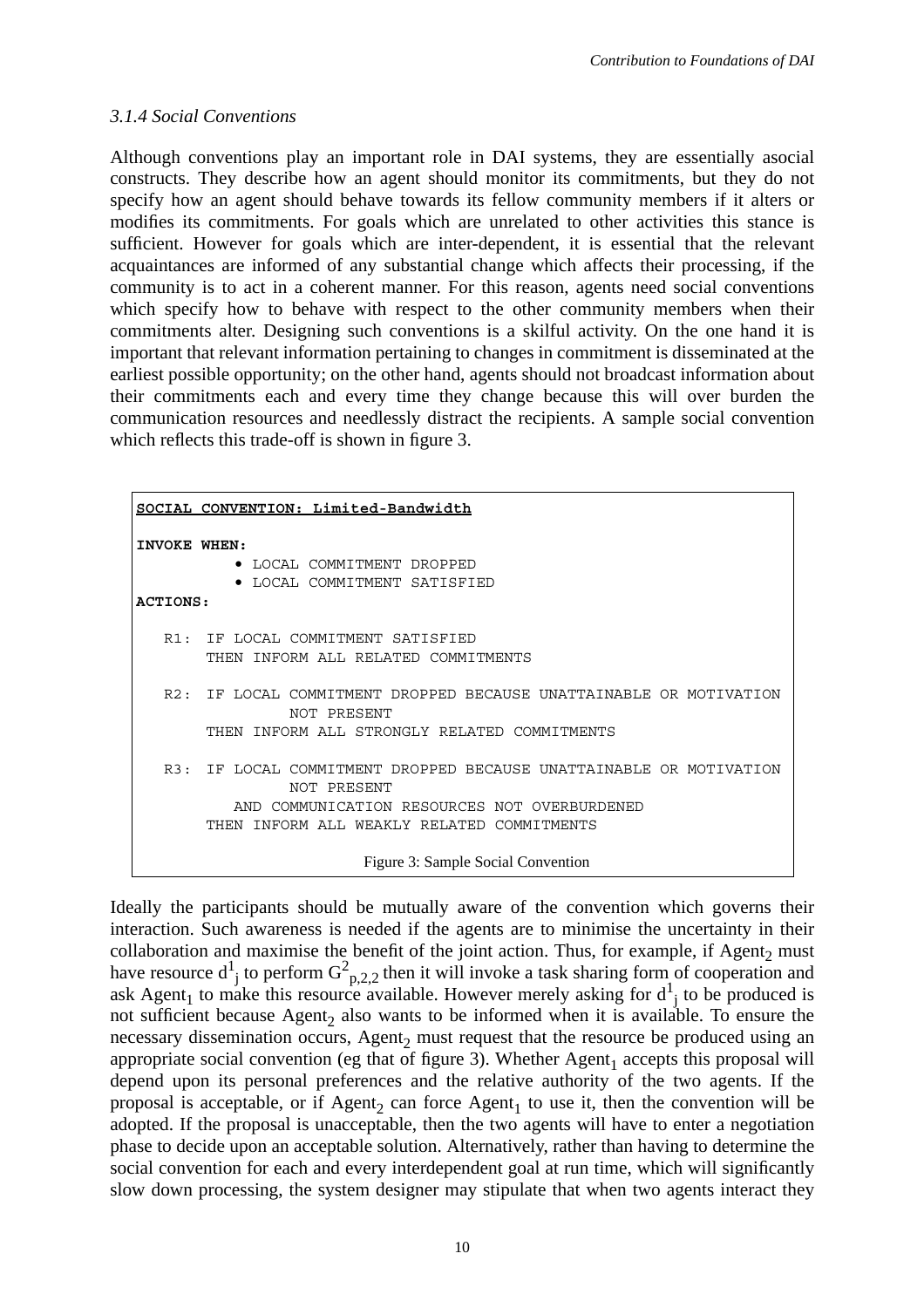#### *3.1.4 Social Conventions*

Although conventions play an important role in DAI systems, they are essentially asocial constructs. They describe how an agent should monitor its commitments, but they do not specify how an agent should behave towards its fellow community members if it alters or modifies its commitments. For goals which are unrelated to other activities this stance is sufficient. However for goals which are inter-dependent, it is essential that the relevant acquaintances are informed of any substantial change which affects their processing, if the community is to act in a coherent manner. For this reason, agents need social conventions which specify how to behave with respect to the other community members when their commitments alter. Designing such conventions is a skilful activity. On the one hand it is important that relevant information pertaining to changes in commitment is disseminated at the earliest possible opportunity; on the other hand, agents should not broadcast information about their commitments each and every time they change because this will over burden the communication resources and needlessly distract the recipients. A sample social convention which reflects this trade-off is shown in figure 3.

```
SOCIAL CONVENTION: Limited-Bandwidth
INVOKE WHEN:
          • LOCAL COMMITMENT DROPPED
          • LOCAL COMMITMENT SATISFIED
ACTIONS:
  R1: IF LOCAL COMMITMENT SATISFIED
       THEN INFORM ALL RELATED COMMITMENTS
  R2: IF LOCAL COMMITMENT DROPPED BECAUSE UNATTAINABLE OR MOTIVATION
                NOT PRESENT
       THEN INFORM ALL STRONGLY RELATED COMMITMENTS
  R3: IF LOCAL COMMITMENT DROPPED BECAUSE UNATTAINABLE OR MOTIVATION
                NOT PRESENT
          AND COMMUNICATION RESOURCES NOT OVERBURDENED
       THEN INFORM ALL WEAKLY RELATED COMMITMENTS
                         Figure 3: Sample Social Convention
```
Ideally the participants should be mutually aware of the convention which governs their interaction. Such awareness is needed if the agents are to minimise the uncertainty in their collaboration and maximise the benefit of the joint action. Thus, for example, if Agent<sub>2</sub> must have resource  $d_{j}^{1}$  to perform  $G_{p,2,2}^{2}$  then it will invoke a task sharing form of cooperation and ask Agent<sub>1</sub> to make this resource available. However merely asking for  $d_j$  to be produced is not sufficient because Agent, also wants to be informed when it is available. To ensure the necessary dissemination occurs, Agent<sub>2</sub> must request that the resource be produced using an appropriate social convention (eg that of figure 3). Whether Agent<sub>1</sub> accepts this proposal will depend upon its personal preferences and the relative authority of the two agents. If the proposal is acceptable, or if Agent<sub>2</sub> can force Agent<sub>1</sub> to use it, then the convention will be adopted. If the proposal is unacceptable, then the two agents will have to enter a negotiation phase to decide upon an acceptable solution. Alternatively, rather than having to determine the social convention for each and every interdependent goal at run time, which will significantly slow down processing, the system designer may stipulate that when two agents interact they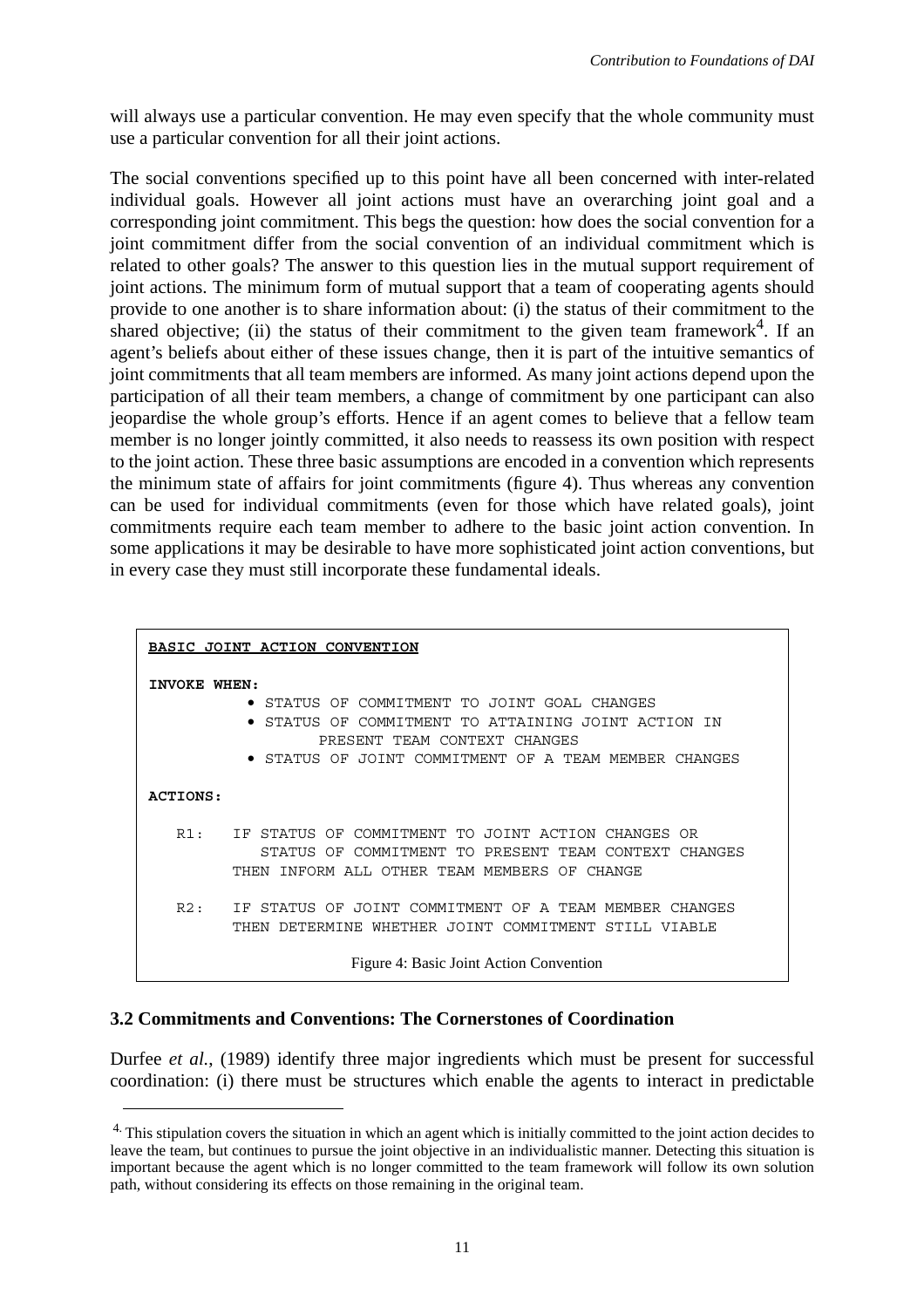will always use a particular convention. He may even specify that the whole community must use a particular convention for all their joint actions.

The social conventions specified up to this point have all been concerned with inter-related individual goals. However all joint actions must have an overarching joint goal and a corresponding joint commitment. This begs the question: how does the social convention for a joint commitment differ from the social convention of an individual commitment which is related to other goals? The answer to this question lies in the mutual support requirement of joint actions. The minimum form of mutual support that a team of cooperating agents should provide to one another is to share information about: (i) the status of their commitment to the shared objective; (ii) the status of their commitment to the given team framework<sup>4</sup>. If an agent's beliefs about either of these issues change, then it is part of the intuitive semantics of joint commitments that all team members are informed. As many joint actions depend upon the participation of all their team members, a change of commitment by one participant can also jeopardise the whole group's efforts. Hence if an agent comes to believe that a fellow team member is no longer jointly committed, it also needs to reassess its own position with respect to the joint action. These three basic assumptions are encoded in a convention which represents the minimum state of affairs for joint commitments (figure 4). Thus whereas any convention can be used for individual commitments (even for those which have related goals), joint commitments require each team member to adhere to the basic joint action convention. In some applications it may be desirable to have more sophisticated joint action conventions, but in every case they must still incorporate these fundamental ideals.

## **BASIC JOINT ACTION CONVENTION INVOKE WHEN:** • STATUS OF COMMITMENT TO JOINT GOAL CHANGES • STATUS OF COMMITMENT TO ATTAINING JOINT ACTION IN PRESENT TEAM CONTEXT CHANGES • STATUS OF JOINT COMMITMENT OF A TEAM MEMBER CHANGES **ACTIONS:** R1: IF STATUS OF COMMITMENT TO JOINT ACTION CHANGES OR STATUS OF COMMITMENT TO PRESENT TEAM CONTEXT CHANGES THEN INFORM ALL OTHER TEAM MEMBERS OF CHANGE R2: IF STATUS OF JOINT COMMITMENT OF A TEAM MEMBER CHANGES THEN DETERMINE WHETHER JOINT COMMITMENT STILL VIABLE Figure 4: Basic Joint Action Convention

## **3.2 Commitments and Conventions: The Cornerstones of Coordination**

Durfee *et al.*, (1989) identify three major ingredients which must be present for successful coordination: (i) there must be structures which enable the agents to interact in predictable

<sup>&</sup>lt;sup>4.</sup> This stipulation covers the situation in which an agent which is initially committed to the joint action decides to leave the team, but continues to pursue the joint objective in an individualistic manner. Detecting this situation is important because the agent which is no longer committed to the team framework will follow its own solution path, without considering its effects on those remaining in the original team.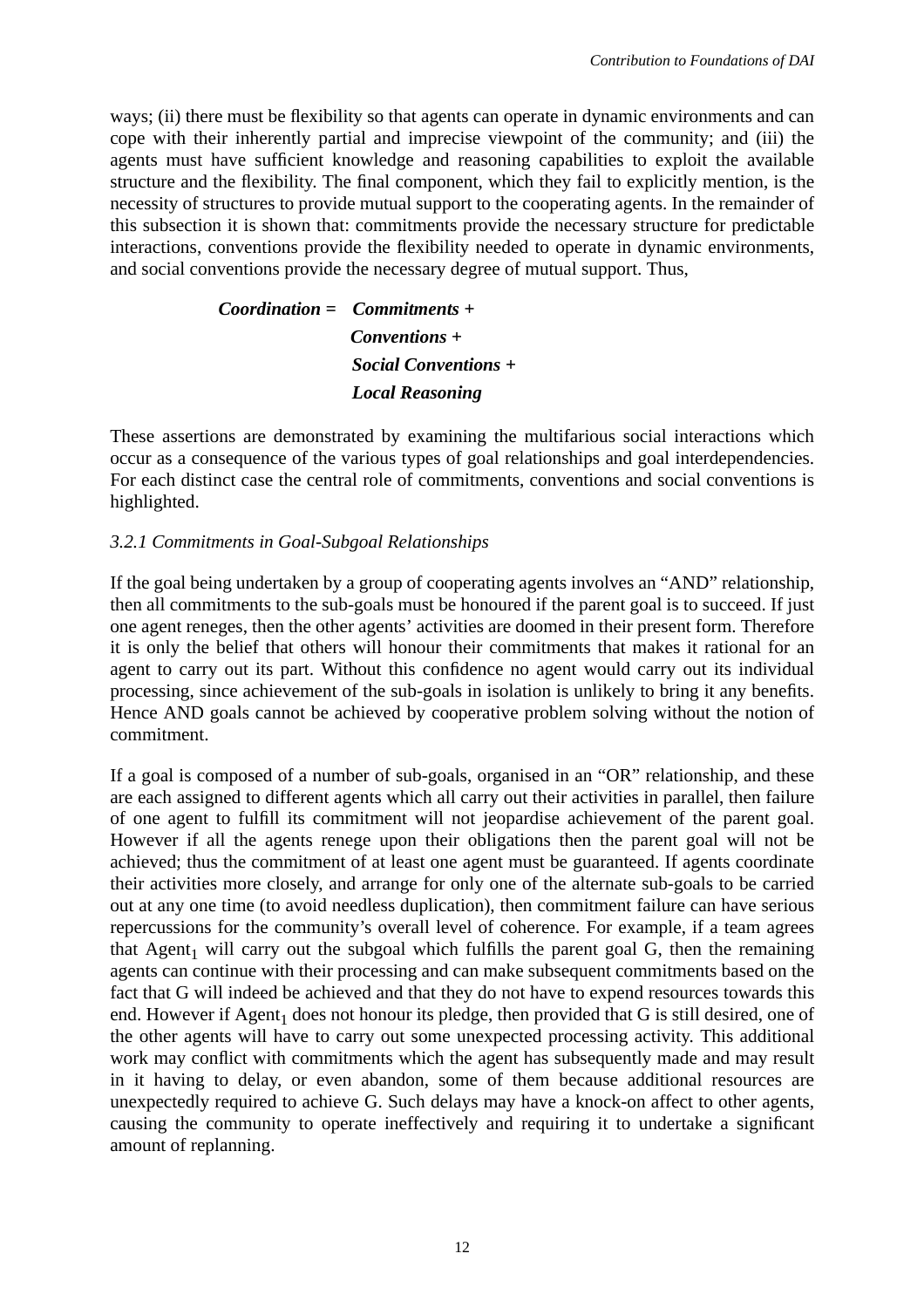ways; (ii) there must be flexibility so that agents can operate in dynamic environments and can cope with their inherently partial and imprecise viewpoint of the community; and (iii) the agents must have sufficient knowledge and reasoning capabilities to exploit the available structure and the flexibility. The final component, which they fail to explicitly mention, is the necessity of structures to provide mutual support to the cooperating agents. In the remainder of this subsection it is shown that: commitments provide the necessary structure for predictable interactions, conventions provide the flexibility needed to operate in dynamic environments, and social conventions provide the necessary degree of mutual support. Thus,

## *Coordination = Commitments + Conventions + Social Conventions + Local Reasoning*

These assertions are demonstrated by examining the multifarious social interactions which occur as a consequence of the various types of goal relationships and goal interdependencies. For each distinct case the central role of commitments, conventions and social conventions is highlighted.

## *3.2.1 Commitments in Goal-Subgoal Relationships*

If the goal being undertaken by a group of cooperating agents involves an "AND" relationship, then all commitments to the sub-goals must be honoured if the parent goal is to succeed. If just one agent reneges, then the other agents' activities are doomed in their present form. Therefore it is only the belief that others will honour their commitments that makes it rational for an agent to carry out its part. Without this confidence no agent would carry out its individual processing, since achievement of the sub-goals in isolation is unlikely to bring it any benefits. Hence AND goals cannot be achieved by cooperative problem solving without the notion of commitment.

If a goal is composed of a number of sub-goals, organised in an "OR" relationship, and these are each assigned to different agents which all carry out their activities in parallel, then failure of one agent to fulfill its commitment will not jeopardise achievement of the parent goal. However if all the agents renege upon their obligations then the parent goal will not be achieved; thus the commitment of at least one agent must be guaranteed. If agents coordinate their activities more closely, and arrange for only one of the alternate sub-goals to be carried out at any one time (to avoid needless duplication), then commitment failure can have serious repercussions for the community's overall level of coherence. For example, if a team agrees that Agent<sub>1</sub> will carry out the subgoal which fulfills the parent goal G, then the remaining agents can continue with their processing and can make subsequent commitments based on the fact that G will indeed be achieved and that they do not have to expend resources towards this end. However if Agent<sub>1</sub> does not honour its pledge, then provided that G is still desired, one of the other agents will have to carry out some unexpected processing activity. This additional work may conflict with commitments which the agent has subsequently made and may result in it having to delay, or even abandon, some of them because additional resources are unexpectedly required to achieve G. Such delays may have a knock-on affect to other agents, causing the community to operate ineffectively and requiring it to undertake a significant amount of replanning.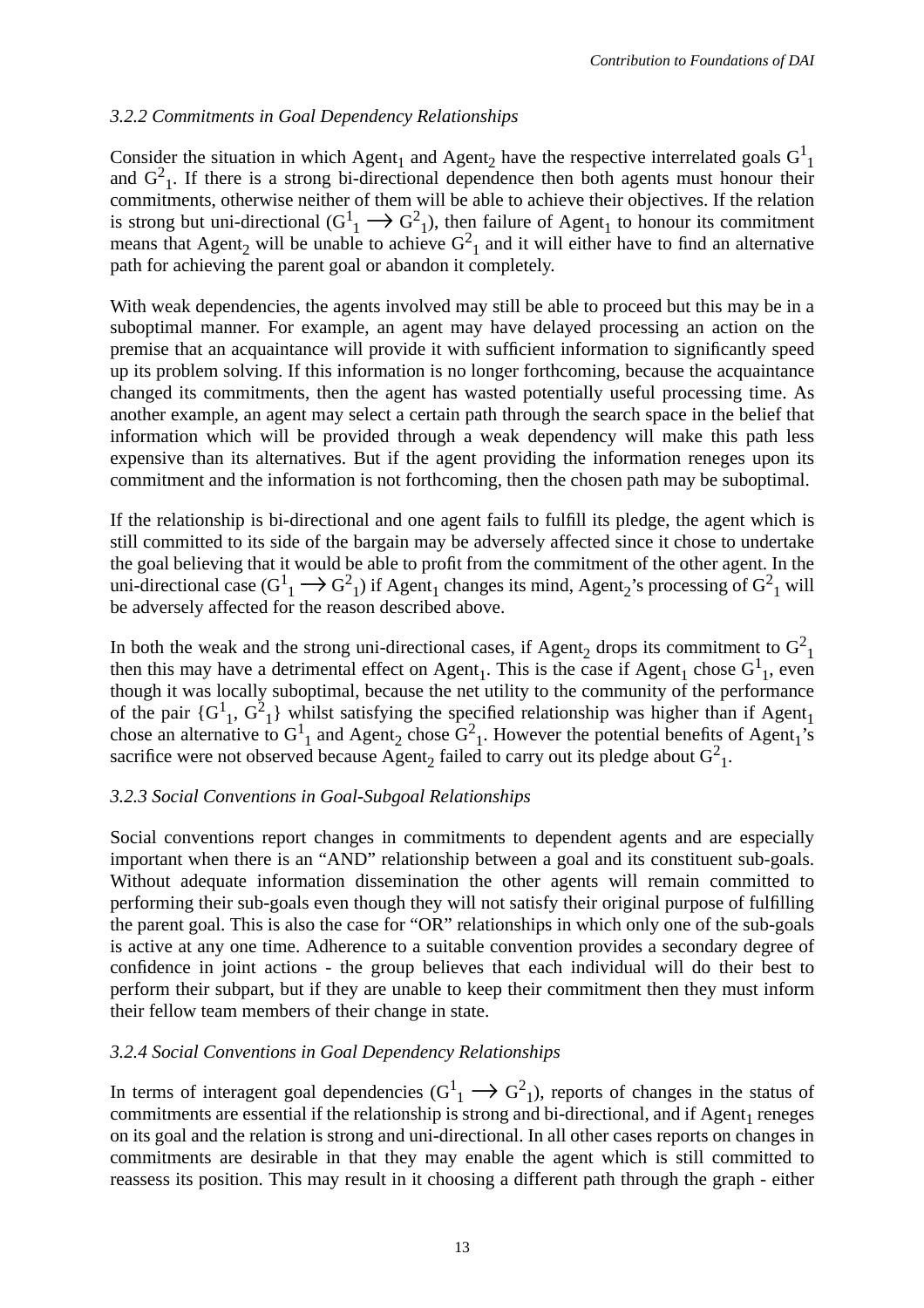## *3.2.2 Commitments in Goal Dependency Relationships*

Consider the situation in which Agent<sub>1</sub> and Agent<sub>2</sub> have the respective interrelated goals  $G<sup>1</sup><sub>1</sub>$ and  $G<sup>2</sup><sub>1</sub>$ . If there is a strong bi-directional dependence then both agents must honour their commitments, otherwise neither of them will be able to achieve their objectives. If the relation is strong but uni-directional  $(G<sup>1</sup><sub>1</sub> \rightarrow G<sup>2</sup><sub>1</sub>)$ , then failure of Agent<sub>1</sub> to honour its commitment means that Agent<sub>2</sub> will be unable to achieve  $G<sup>2</sup><sub>1</sub>$  and it will either have to find an alternative path for achieving the parent goal or abandon it completely.

With weak dependencies, the agents involved may still be able to proceed but this may be in a suboptimal manner. For example, an agent may have delayed processing an action on the premise that an acquaintance will provide it with sufficient information to significantly speed up its problem solving. If this information is no longer forthcoming, because the acquaintance changed its commitments, then the agent has wasted potentially useful processing time. As another example, an agent may select a certain path through the search space in the belief that information which will be provided through a weak dependency will make this path less expensive than its alternatives. But if the agent providing the information reneges upon its commitment and the information is not forthcoming, then the chosen path may be suboptimal.

If the relationship is bi-directional and one agent fails to fulfill its pledge, the agent which is still committed to its side of the bargain may be adversely affected since it chose to undertake the goal believing that it would be able to profit from the commitment of the other agent. In the uni-directional case  $(G_1^1 \rightarrow G_1^2)$  if Agent<sub>1</sub> changes its mind, Agent<sub>2</sub>'s processing of  $G_1^2$  will be adversely affected for the reason described above.

In both the weak and the strong uni-directional cases, if Agent<sub>2</sub> drops its commitment to  $G_1^2$ then this may have a detrimental effect on Agent<sub>1</sub>. This is the case if Agent<sub>1</sub> chose  $G^1_1$ , even though it was locally suboptimal, because the net utility to the community of the performance of the pair  $\{G^1_1, G^2_1\}$  whilst satisfying the specified relationship was higher than if Agent<sub>1</sub> chose an alternative to  $G_1^1$  and Agent<sub>2</sub> chose  $G_1^2$ . However the potential benefits of Agent<sub>1</sub>'s sacrifice were not observed because  $\text{Agent}_2$  failed to carry out its pledge about  $G^2_1$ .

#### *3.2.3 Social Conventions in Goal-Subgoal Relationships*

Social conventions report changes in commitments to dependent agents and are especially important when there is an "AND" relationship between a goal and its constituent sub-goals. Without adequate information dissemination the other agents will remain committed to performing their sub-goals even though they will not satisfy their original purpose of fulfilling the parent goal. This is also the case for "OR" relationships in which only one of the sub-goals is active at any one time. Adherence to a suitable convention provides a secondary degree of confidence in joint actions - the group believes that each individual will do their best to perform their subpart, but if they are unable to keep their commitment then they must inform their fellow team members of their change in state.

## *3.2.4 Social Conventions in Goal Dependency Relationships*

In terms of interagent goal dependencies  $(G_1^1 \rightarrow G_1^2)$ , reports of changes in the status of commitments are essential if the relationship is strong and bi-directional, and if  $Agent_1$  reneges on its goal and the relation is strong and uni-directional. In all other cases reports on changes in commitments are desirable in that they may enable the agent which is still committed to reassess its position. This may result in it choosing a different path through the graph - either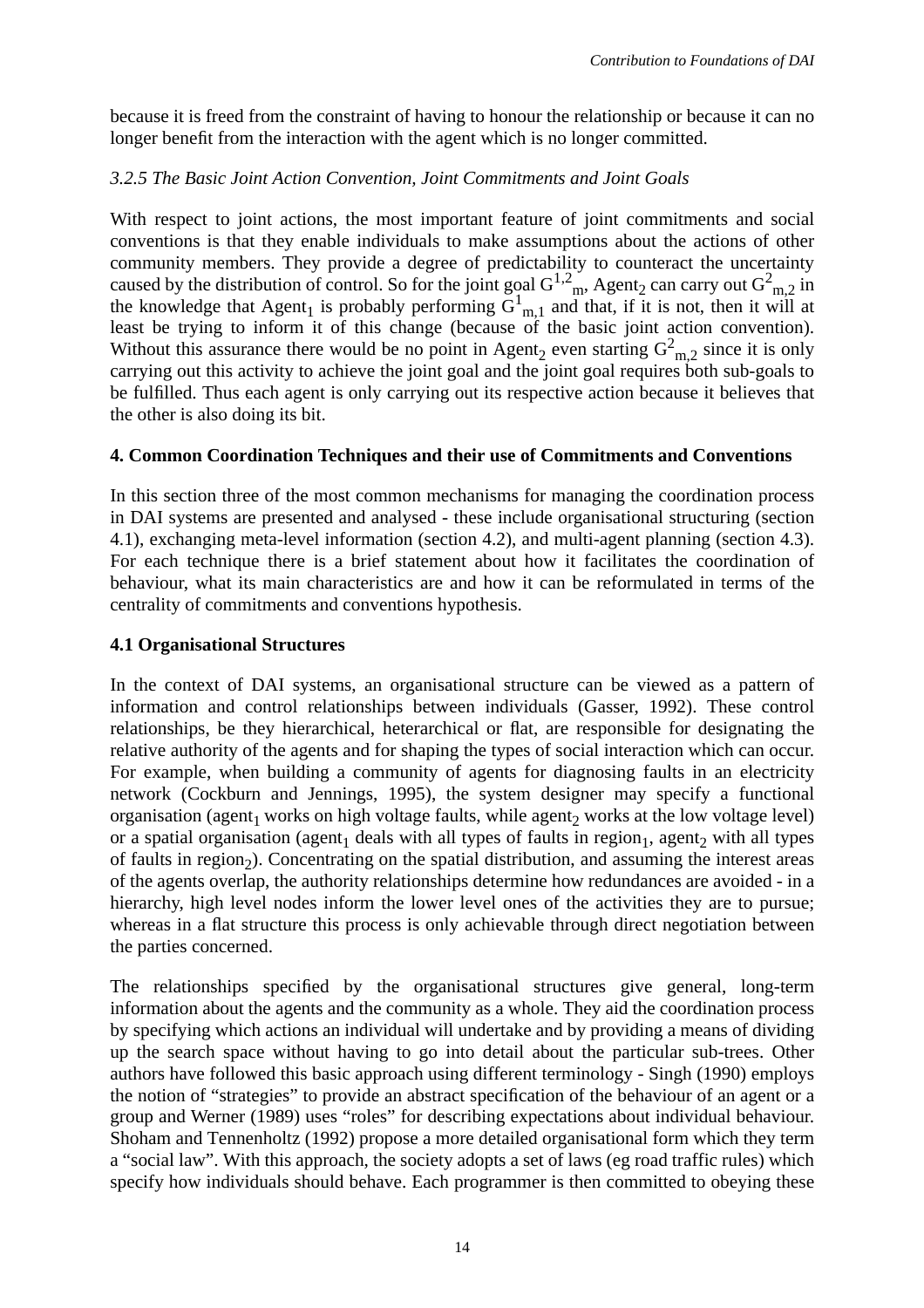because it is freed from the constraint of having to honour the relationship or because it can no longer benefit from the interaction with the agent which is no longer committed.

## *3.2.5 The Basic Joint Action Convention, Joint Commitments and Joint Goals*

With respect to joint actions, the most important feature of joint commitments and social conventions is that they enable individuals to make assumptions about the actions of other community members. They provide a degree of predictability to counteract the uncertainty caused by the distribution of control. So for the joint goal  $G^{1,2}$ <sub>m</sub>, Agent<sub>2</sub> can carry out  $G^2$ <sub>m,2</sub> in the knowledge that Agent<sub>1</sub> is probably performing  $\overline{G}^1_{m,1}$  and that, if it is not, then it will at least be trying to inform it of this change (because of the basic joint action convention). Without this assurance there would be no point in Agent<sub>2</sub> even starting  $G_{m,2}^2$  since it is only carrying out this activity to achieve the joint goal and the joint goal requires both sub-goals to be fulfilled. Thus each agent is only carrying out its respective action because it believes that the other is also doing its bit.

## **4. Common Coordination Techniques and their use of Commitments and Conventions**

In this section three of the most common mechanisms for managing the coordination process in DAI systems are presented and analysed - these include organisational structuring (section 4.1), exchanging meta-level information (section 4.2), and multi-agent planning (section 4.3). For each technique there is a brief statement about how it facilitates the coordination of behaviour, what its main characteristics are and how it can be reformulated in terms of the centrality of commitments and conventions hypothesis.

### **4.1 Organisational Structures**

In the context of DAI systems, an organisational structure can be viewed as a pattern of information and control relationships between individuals (Gasser, 1992). These control relationships, be they hierarchical, heterarchical or flat, are responsible for designating the relative authority of the agents and for shaping the types of social interaction which can occur. For example, when building a community of agents for diagnosing faults in an electricity network (Cockburn and Jennings, 1995), the system designer may specify a functional organisation (agent<sub>1</sub> works on high voltage faults, while agent<sub>2</sub> works at the low voltage level) or a spatial organisation (agent<sub>1</sub> deals with all types of faults in region<sub>1</sub>, agent<sub>2</sub> with all types of faults in region<sub>2</sub>). Concentrating on the spatial distribution, and assuming the interest areas of the agents overlap, the authority relationships determine how redundances are avoided - in a hierarchy, high level nodes inform the lower level ones of the activities they are to pursue; whereas in a flat structure this process is only achievable through direct negotiation between the parties concerned.

The relationships specified by the organisational structures give general, long-term information about the agents and the community as a whole. They aid the coordination process by specifying which actions an individual will undertake and by providing a means of dividing up the search space without having to go into detail about the particular sub-trees. Other authors have followed this basic approach using different terminology - Singh (1990) employs the notion of "strategies" to provide an abstract specification of the behaviour of an agent or a group and Werner (1989) uses "roles" for describing expectations about individual behaviour. Shoham and Tennenholtz (1992) propose a more detailed organisational form which they term a "social law". With this approach, the society adopts a set of laws (eg road traffic rules) which specify how individuals should behave. Each programmer is then committed to obeying these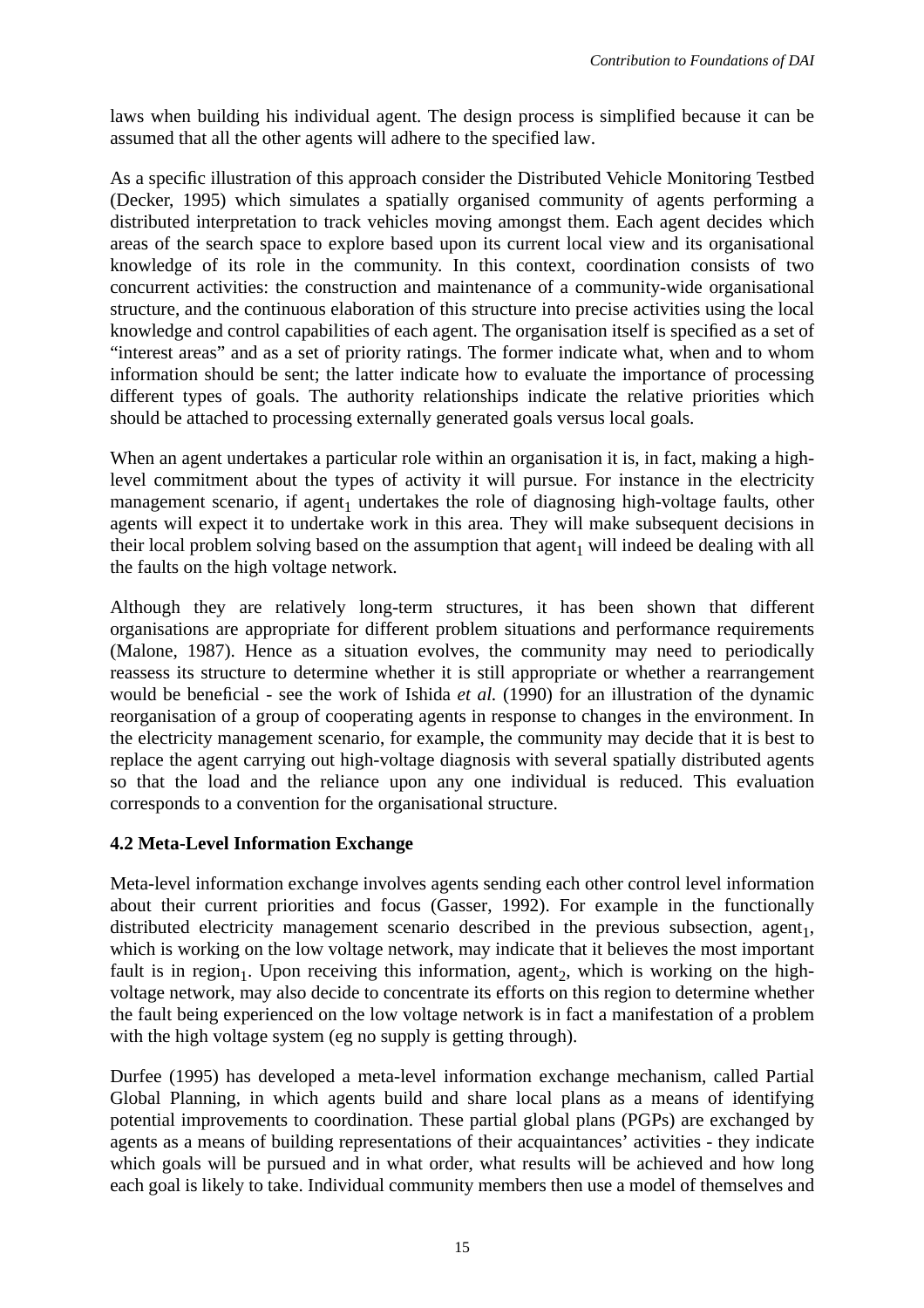laws when building his individual agent. The design process is simplified because it can be assumed that all the other agents will adhere to the specified law.

As a specific illustration of this approach consider the Distributed Vehicle Monitoring Testbed (Decker, 1995) which simulates a spatially organised community of agents performing a distributed interpretation to track vehicles moving amongst them. Each agent decides which areas of the search space to explore based upon its current local view and its organisational knowledge of its role in the community. In this context, coordination consists of two concurrent activities: the construction and maintenance of a community-wide organisational structure, and the continuous elaboration of this structure into precise activities using the local knowledge and control capabilities of each agent. The organisation itself is specified as a set of "interest areas" and as a set of priority ratings. The former indicate what, when and to whom information should be sent; the latter indicate how to evaluate the importance of processing different types of goals. The authority relationships indicate the relative priorities which should be attached to processing externally generated goals versus local goals.

When an agent undertakes a particular role within an organisation it is, in fact, making a highlevel commitment about the types of activity it will pursue. For instance in the electricity management scenario, if agent<sub>1</sub> undertakes the role of diagnosing high-voltage faults, other agents will expect it to undertake work in this area. They will make subsequent decisions in their local problem solving based on the assumption that agent<sub>1</sub> will indeed be dealing with all the faults on the high voltage network.

Although they are relatively long-term structures, it has been shown that different organisations are appropriate for different problem situations and performance requirements (Malone, 1987). Hence as a situation evolves, the community may need to periodically reassess its structure to determine whether it is still appropriate or whether a rearrangement would be beneficial - see the work of Ishida *et al.* (1990) for an illustration of the dynamic reorganisation of a group of cooperating agents in response to changes in the environment. In the electricity management scenario, for example, the community may decide that it is best to replace the agent carrying out high-voltage diagnosis with several spatially distributed agents so that the load and the reliance upon any one individual is reduced. This evaluation corresponds to a convention for the organisational structure.

## **4.2 Meta-Level Information Exchange**

Meta-level information exchange involves agents sending each other control level information about their current priorities and focus (Gasser, 1992). For example in the functionally distributed electricity management scenario described in the previous subsection, agent<sub>1</sub>, which is working on the low voltage network, may indicate that it believes the most important fault is in region<sub>1</sub>. Upon receiving this information, agent<sub>2</sub>, which is working on the highvoltage network, may also decide to concentrate its efforts on this region to determine whether the fault being experienced on the low voltage network is in fact a manifestation of a problem with the high voltage system (eg no supply is getting through).

Durfee (1995) has developed a meta-level information exchange mechanism, called Partial Global Planning, in which agents build and share local plans as a means of identifying potential improvements to coordination. These partial global plans (PGPs) are exchanged by agents as a means of building representations of their acquaintances' activities - they indicate which goals will be pursued and in what order, what results will be achieved and how long each goal is likely to take. Individual community members then use a model of themselves and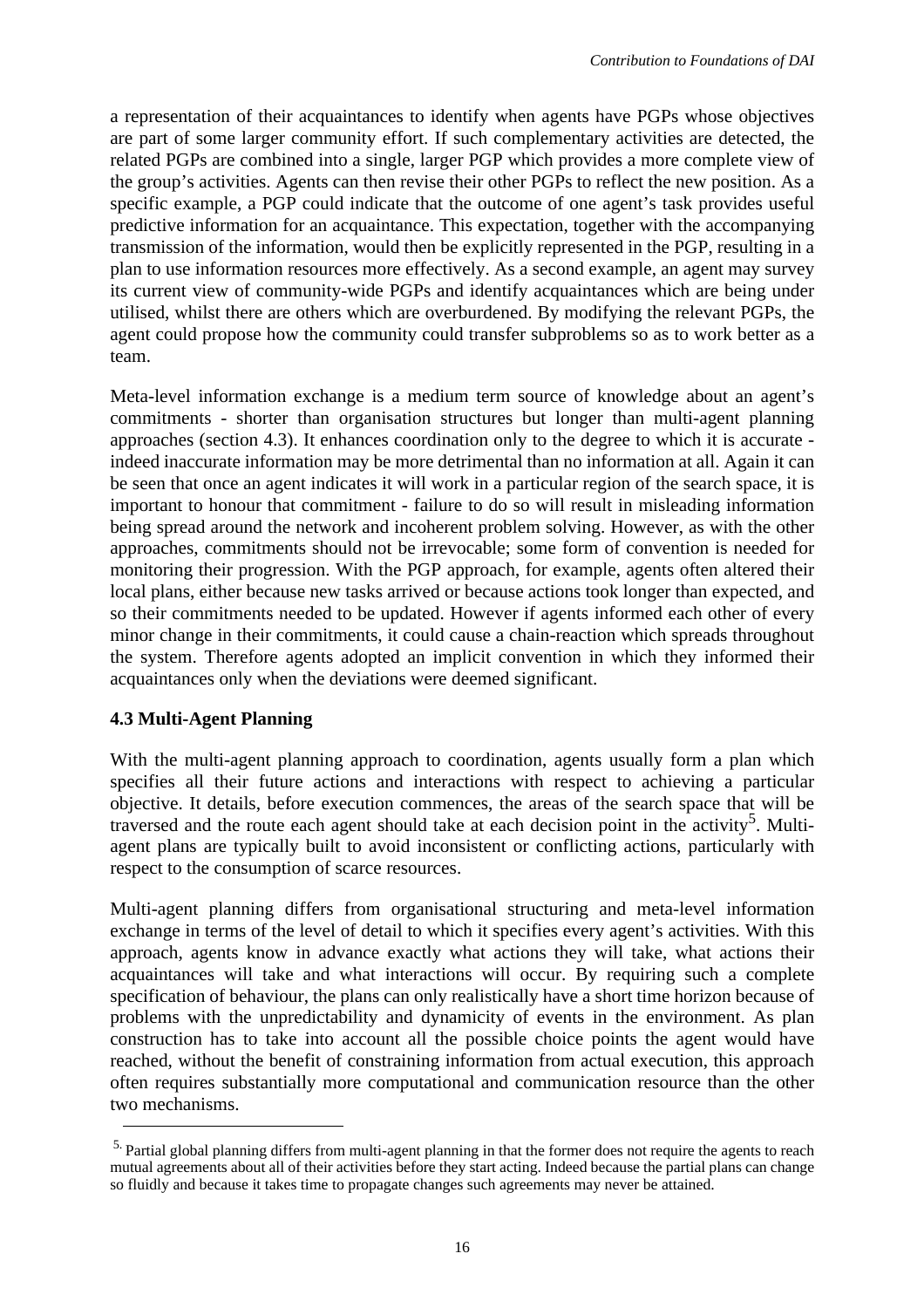a representation of their acquaintances to identify when agents have PGPs whose objectives are part of some larger community effort. If such complementary activities are detected, the related PGPs are combined into a single, larger PGP which provides a more complete view of the group's activities. Agents can then revise their other PGPs to reflect the new position. As a specific example, a PGP could indicate that the outcome of one agent's task provides useful predictive information for an acquaintance. This expectation, together with the accompanying transmission of the information, would then be explicitly represented in the PGP, resulting in a plan to use information resources more effectively. As a second example, an agent may survey its current view of community-wide PGPs and identify acquaintances which are being under utilised, whilst there are others which are overburdened. By modifying the relevant PGPs, the agent could propose how the community could transfer subproblems so as to work better as a team.

Meta-level information exchange is a medium term source of knowledge about an agent's commitments - shorter than organisation structures but longer than multi-agent planning approaches (section 4.3). It enhances coordination only to the degree to which it is accurate indeed inaccurate information may be more detrimental than no information at all. Again it can be seen that once an agent indicates it will work in a particular region of the search space, it is important to honour that commitment - failure to do so will result in misleading information being spread around the network and incoherent problem solving. However, as with the other approaches, commitments should not be irrevocable; some form of convention is needed for monitoring their progression. With the PGP approach, for example, agents often altered their local plans, either because new tasks arrived or because actions took longer than expected, and so their commitments needed to be updated. However if agents informed each other of every minor change in their commitments, it could cause a chain-reaction which spreads throughout the system. Therefore agents adopted an implicit convention in which they informed their acquaintances only when the deviations were deemed significant.

## **4.3 Multi-Agent Planning**

With the multi-agent planning approach to coordination, agents usually form a plan which specifies all their future actions and interactions with respect to achieving a particular objective. It details, before execution commences, the areas of the search space that will be traversed and the route each agent should take at each decision point in the activity<sup>5</sup>. Multiagent plans are typically built to avoid inconsistent or conflicting actions, particularly with respect to the consumption of scarce resources.

Multi-agent planning differs from organisational structuring and meta-level information exchange in terms of the level of detail to which it specifies every agent's activities. With this approach, agents know in advance exactly what actions they will take, what actions their acquaintances will take and what interactions will occur. By requiring such a complete specification of behaviour, the plans can only realistically have a short time horizon because of problems with the unpredictability and dynamicity of events in the environment. As plan construction has to take into account all the possible choice points the agent would have reached, without the benefit of constraining information from actual execution, this approach often requires substantially more computational and communication resource than the other two mechanisms.

 $<sup>5</sup>$  Partial global planning differs from multi-agent planning in that the former does not require the agents to reach</sup> mutual agreements about all of their activities before they start acting. Indeed because the partial plans can change so fluidly and because it takes time to propagate changes such agreements may never be attained.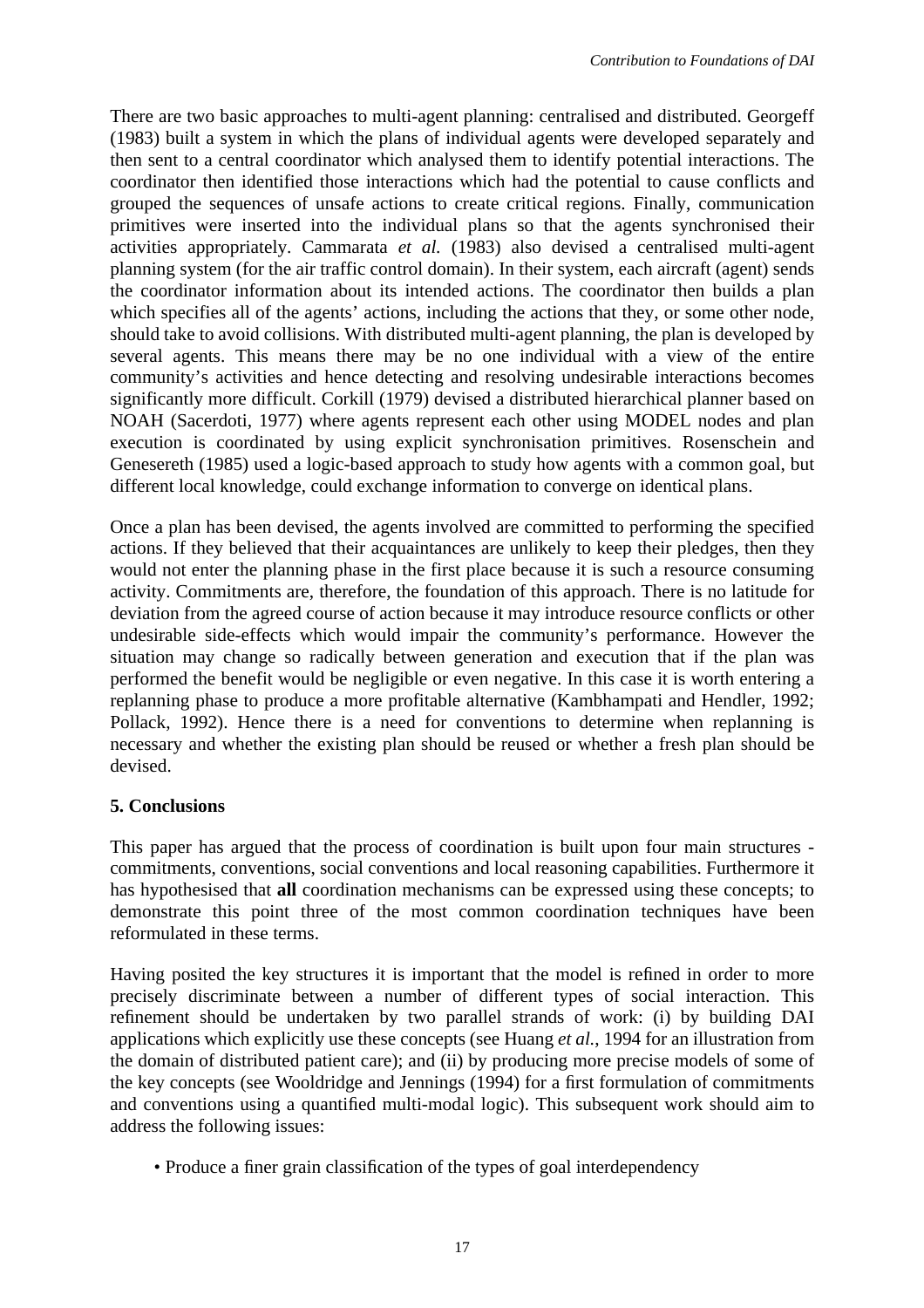There are two basic approaches to multi-agent planning: centralised and distributed. Georgeff (1983) built a system in which the plans of individual agents were developed separately and then sent to a central coordinator which analysed them to identify potential interactions. The coordinator then identified those interactions which had the potential to cause conflicts and grouped the sequences of unsafe actions to create critical regions. Finally, communication primitives were inserted into the individual plans so that the agents synchronised their activities appropriately. Cammarata *et al.* (1983) also devised a centralised multi-agent planning system (for the air traffic control domain). In their system, each aircraft (agent) sends the coordinator information about its intended actions. The coordinator then builds a plan which specifies all of the agents' actions, including the actions that they, or some other node, should take to avoid collisions. With distributed multi-agent planning, the plan is developed by several agents. This means there may be no one individual with a view of the entire community's activities and hence detecting and resolving undesirable interactions becomes significantly more difficult. Corkill (1979) devised a distributed hierarchical planner based on NOAH (Sacerdoti, 1977) where agents represent each other using MODEL nodes and plan execution is coordinated by using explicit synchronisation primitives. Rosenschein and Genesereth (1985) used a logic-based approach to study how agents with a common goal, but different local knowledge, could exchange information to converge on identical plans.

Once a plan has been devised, the agents involved are committed to performing the specified actions. If they believed that their acquaintances are unlikely to keep their pledges, then they would not enter the planning phase in the first place because it is such a resource consuming activity. Commitments are, therefore, the foundation of this approach. There is no latitude for deviation from the agreed course of action because it may introduce resource conflicts or other undesirable side-effects which would impair the community's performance. However the situation may change so radically between generation and execution that if the plan was performed the benefit would be negligible or even negative. In this case it is worth entering a replanning phase to produce a more profitable alternative (Kambhampati and Hendler, 1992; Pollack, 1992). Hence there is a need for conventions to determine when replanning is necessary and whether the existing plan should be reused or whether a fresh plan should be devised.

## **5. Conclusions**

This paper has argued that the process of coordination is built upon four main structures commitments, conventions, social conventions and local reasoning capabilities. Furthermore it has hypothesised that **all** coordination mechanisms can be expressed using these concepts; to demonstrate this point three of the most common coordination techniques have been reformulated in these terms.

Having posited the key structures it is important that the model is refined in order to more precisely discriminate between a number of different types of social interaction. This refinement should be undertaken by two parallel strands of work: (i) by building DAI applications which explicitly use these concepts (see Huang *et al.*, 1994 for an illustration from the domain of distributed patient care); and (ii) by producing more precise models of some of the key concepts (see Wooldridge and Jennings (1994) for a first formulation of commitments and conventions using a quantified multi-modal logic). This subsequent work should aim to address the following issues:

<sup>•</sup> Produce a finer grain classification of the types of goal interdependency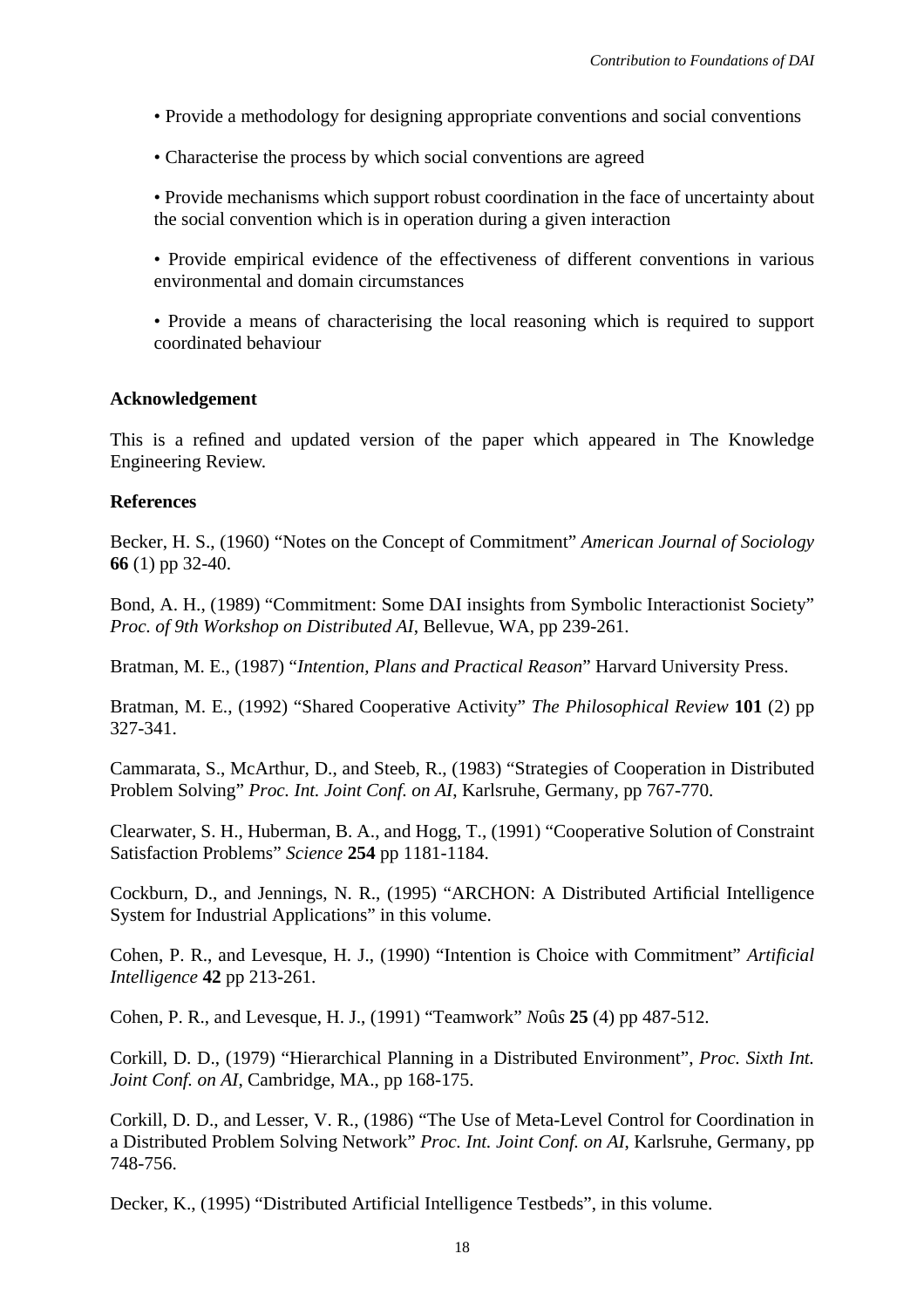- Provide a methodology for designing appropriate conventions and social conventions
- Characterise the process by which social conventions are agreed

• Provide mechanisms which support robust coordination in the face of uncertainty about the social convention which is in operation during a given interaction

• Provide empirical evidence of the effectiveness of different conventions in various environmental and domain circumstances

• Provide a means of characterising the local reasoning which is required to support coordinated behaviour

#### **Acknowledgement**

This is a refined and updated version of the paper which appeared in The Knowledge Engineering Review.

#### **References**

Becker, H. S., (1960) "Notes on the Concept of Commitment" *American Journal of Sociology* **66** (1) pp 32-40.

Bond, A. H., (1989) "Commitment: Some DAI insights from Symbolic Interactionist Society" *Proc. of 9th Workshop on Distributed AI*, Bellevue, WA, pp 239-261.

Bratman, M. E., (1987) "*Intention, Plans and Practical Reason*" Harvard University Press.

Bratman, M. E., (1992) "Shared Cooperative Activity" *The Philosophical Review* **101** (2) pp 327-341.

Cammarata, S., McArthur, D., and Steeb, R., (1983) "Strategies of Cooperation in Distributed Problem Solving" *Proc. Int. Joint Conf. on AI*, Karlsruhe, Germany, pp 767-770.

Clearwater, S. H., Huberman, B. A., and Hogg, T., (1991) "Cooperative Solution of Constraint Satisfaction Problems" *Science* **254** pp 1181-1184.

Cockburn, D., and Jennings, N. R., (1995) "ARCHON: A Distributed Artificial Intelligence System for Industrial Applications" in this volume.

Cohen, P. R., and Levesque, H. J., (1990) "Intention is Choice with Commitment" *Artificial Intelligence* **42** pp 213-261.

Cohen, P. R., and Levesque, H. J., (1991) "Teamwork" *No*û*s* **25** (4) pp 487-512.

Corkill, D. D., (1979) "Hierarchical Planning in a Distributed Environment", *Proc. Sixth Int. Joint Conf. on AI*, Cambridge, MA., pp 168-175.

Corkill, D. D., and Lesser, V. R., (1986) "The Use of Meta-Level Control for Coordination in a Distributed Problem Solving Network" *Proc. Int. Joint Conf. on AI*, Karlsruhe, Germany, pp 748-756.

Decker, K., (1995) "Distributed Artificial Intelligence Testbeds", in this volume.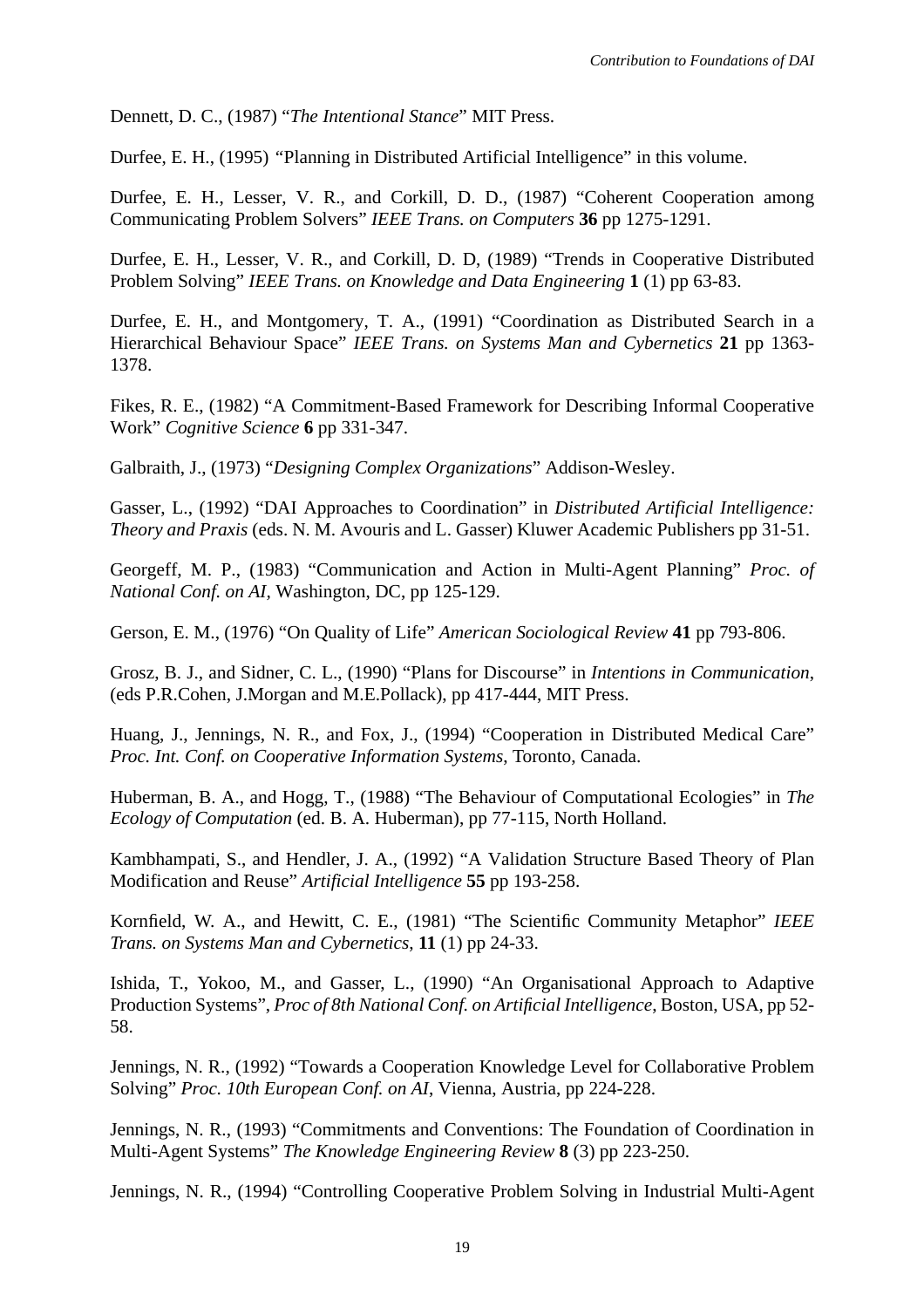Dennett, D. C., (1987) "*The Intentional Stance*" MIT Press.

Durfee, E. H., (1995) *"*Planning in Distributed Artificial Intelligence" in this volume.

Durfee, E. H., Lesser, V. R., and Corkill, D. D., (1987) "Coherent Cooperation among Communicating Problem Solvers" *IEEE Trans. on Computers* **36** pp 1275-1291.

Durfee, E. H., Lesser, V. R., and Corkill, D. D, (1989) "Trends in Cooperative Distributed Problem Solving" *IEEE Trans. on Knowledge and Data Engineering* **1** (1) pp 63-83.

Durfee, E. H., and Montgomery, T. A., (1991) "Coordination as Distributed Search in a Hierarchical Behaviour Space" *IEEE Trans. on Systems Man and Cybernetics* **21** pp 1363- 1378.

Fikes, R. E., (1982) "A Commitment-Based Framework for Describing Informal Cooperative Work" *Cognitive Science* **6** pp 331-347.

Galbraith, J., (1973) "*Designing Complex Organizations*" Addison-Wesley.

Gasser, L., (1992) "DAI Approaches to Coordination" in *Distributed Artificial Intelligence: Theory and Praxis* (eds. N. M. Avouris and L. Gasser) Kluwer Academic Publishers pp 31-51.

Georgeff, M. P., (1983) "Communication and Action in Multi-Agent Planning" *Proc. of National Conf. on AI,* Washington, DC, pp 125-129.

Gerson, E. M., (1976) "On Quality of Life" *American Sociological Review* **41** pp 793-806.

Grosz, B. J., and Sidner, C. L., (1990) "Plans for Discourse" in *Intentions in Communication*, (eds P.R.Cohen, J.Morgan and M.E.Pollack), pp 417-444, MIT Press.

Huang, J., Jennings, N. R., and Fox, J., (1994) "Cooperation in Distributed Medical Care" *Proc. Int. Conf. on Cooperative Information Systems*, Toronto, Canada.

Huberman, B. A., and Hogg, T., (1988) "The Behaviour of Computational Ecologies" in *The Ecology of Computation* (ed. B. A. Huberman), pp 77-115, North Holland.

Kambhampati, S., and Hendler, J. A., (1992) "A Validation Structure Based Theory of Plan Modification and Reuse" *Artificial Intelligence* **55** pp 193-258.

Kornfield, W. A., and Hewitt, C. E., (1981) "The Scientific Community Metaphor" *IEEE Trans. on Systems Man and Cybernetics*, **11** (1) pp 24-33.

Ishida, T., Yokoo, M., and Gasser, L., (1990) "An Organisational Approach to Adaptive Production Systems", *Proc of 8th National Conf. on Artificial Intelligence*, Boston, USA, pp 52- 58.

Jennings, N. R., (1992) "Towards a Cooperation Knowledge Level for Collaborative Problem Solving" *Proc. 10th European Conf. on AI*, Vienna, Austria, pp 224-228.

Jennings, N. R., (1993) "Commitments and Conventions: The Foundation of Coordination in Multi-Agent Systems" *The Knowledge Engineering Review* **8** (3) pp 223-250.

Jennings, N. R., (1994) "Controlling Cooperative Problem Solving in Industrial Multi-Agent